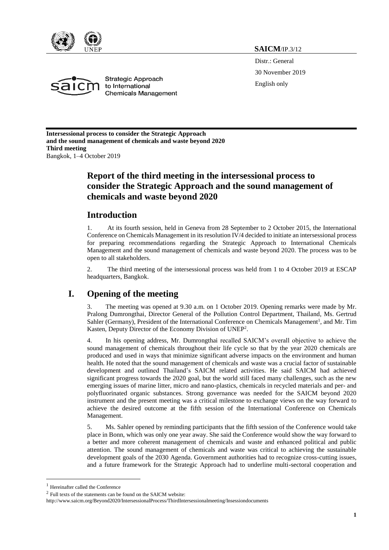

**SAICM**/IP.3/12

Distr.: General 30 November 2019 English only



**Strategic Approach** to International **Chemicals Management** 

**Intersessional process to consider the Strategic Approach and the sound management of chemicals and waste beyond 2020 Third meeting** Bangkok, 1–4 October 2019

# **Report of the third meeting in the intersessional process to consider the Strategic Approach and the sound management of chemicals and waste beyond 2020**

# **Introduction**

1. At its fourth session, held in Geneva from 28 September to 2 October 2015, the International Conference on Chemicals Management in its resolution IV/4 decided to initiate an intersessional process for preparing recommendations regarding the Strategic Approach to International Chemicals Management and the sound management of chemicals and waste beyond 2020. The process was to be open to all stakeholders.

2. The third meeting of the intersessional process was held from 1 to 4 October 2019 at ESCAP headquarters, Bangkok.

# **I. Opening of the meeting**

3. The meeting was opened at 9.30 a.m. on 1 October 2019. Opening remarks were made by Mr. Pralong Dumrongthai, Director General of the Pollution Control Department, Thailand, Ms. Gertrud Sahler (Germany), President of the International Conference on Chemicals Management<sup>1</sup>, and Mr. Tim Kasten, Deputy Director of the Economy Division of UNEP<sup>2</sup>.

4. In his opening address, Mr. Dumrongthai recalled SAICM's overall objective to achieve the sound management of chemicals throughout their life cycle so that by the year 2020 chemicals are produced and used in ways that minimize significant adverse impacts on the environment and human health. He noted that the sound management of chemicals and waste was a crucial factor of sustainable development and outlined Thailand's SAICM related activities. He said SAICM had achieved significant progress towards the 2020 goal, but the world still faced many challenges, such as the new emerging issues of marine litter, micro and nano-plastics, chemicals in recycled materials and per- and polyfluorinated organic substances. Strong governance was needed for the SAICM beyond 2020 instrument and the present meeting was a critical milestone to exchange views on the way forward to achieve the desired outcome at the fifth session of the International Conference on Chemicals Management.

5. Ms. Sahler opened by reminding participants that the fifth session of the Conference would take place in Bonn, which was only one year away. She said the Conference would show the way forward to a better and more coherent management of chemicals and waste and enhanced political and public attention. The sound management of chemicals and waste was critical to achieving the sustainable development goals of the 2030 Agenda. Government authorities had to recognize cross-cutting issues, and a future framework for the Strategic Approach had to underline multi-sectoral cooperation and

 $\overline{a}$ 

<sup>1</sup> Hereinafter called the Conference

<sup>2</sup> Full texts of the statements can be found on the SAICM website:

http://www.saicm.org/Beyond2020/IntersessionalProcess/ThirdIntersessionalmeeting/Insessiondocuments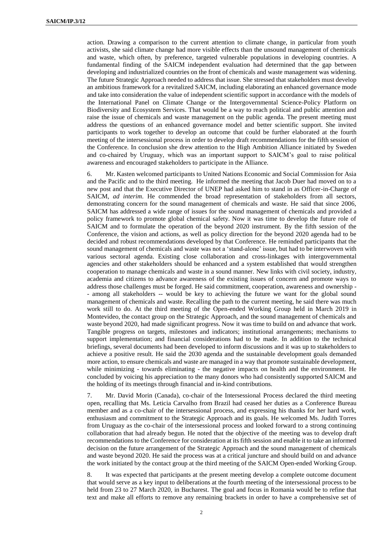action. Drawing a comparison to the current attention to climate change, in particular from youth activists, she said climate change had more visible effects than the unsound management of chemicals and waste, which often, by preference, targeted vulnerable populations in developing countries. A fundamental finding of the SAICM independent evaluation had determined that the gap between developing and industrialized countries on the front of chemicals and waste management was widening. The future Strategic Approach needed to address that issue. She stressed that stakeholders must develop an ambitious framework for a revitalized SAICM, including elaborating an enhanced governance mode and take into consideration the value of independent scientific support in accordance with the models of the International Panel on Climate Change or the Intergovernmental Science-Policy Platform on Biodiversity and Ecosystem Services. That would be a way to reach political and public attention and raise the issue of chemicals and waste management on the public agenda. The present meeting must address the questions of an enhanced governance model and better scientific support. She invited participants to work together to develop an outcome that could be further elaborated at the fourth meeting of the intersessional process in order to develop draft recommendations for the fifth session of the Conference. In conclusion she drew attention to the High Ambition Alliance initiated by Sweden and co-chaired by Uruguay, which was an important support to SAICM's goal to raise political awareness and encouraged stakeholders to participate in the Alliance.

6. Mr. Kasten welcomed participants to United Nations Economic and Social Commission for Asia and the Pacific and to the third meeting. He informed the meeting that Jacob Duer had moved on to a new post and that the Executive Director of UNEP had asked him to stand in as Officer-in-Charge of SAICM, *ad interim*. He commended the broad representation of stakeholders from all sectors, demonstrating concern for the sound management of chemicals and waste. He said that since 2006, SAICM has addressed a wide range of issues for the sound management of chemicals and provided a policy framework to promote global chemical safety. Now it was time to develop the future role of SAICM and to formulate the operation of the beyond 2020 instrument. By the fifth session of the Conference, the vision and actions, as well as policy direction for the beyond 2020 agenda had to be decided and robust recommendations developed by that Conference. He reminded participants that the sound management of chemicals and waste was not a 'stand-alone' issue, but had to be interwoven with various sectoral agenda. Existing close collaboration and cross-linkages with intergovernmental agencies and other stakeholders should be enhanced and a system established that would strengthen cooperation to manage chemicals and waste in a sound manner. New links with civil society, industry, academia and citizens to advance awareness of the existing issues of concern and promote ways to address those challenges must be forged. He said commitment, cooperation, awareness and ownership - - among all stakeholders -- would be key to achieving the future we want for the global sound management of chemicals and waste. Recalling the path to the current meeting, he said there was much work still to do. At the third meeting of the Open-ended Working Group held in March 2019 in Montevideo, the contact group on the Strategic Approach, and the sound management of chemicals and waste beyond 2020, had made significant progress. Now it was time to build on and advance that work. Tangible progress on targets, milestones and indicators; institutional arrangements; mechanisms to support implementation; and financial considerations had to be made. In addition to the technical briefings, several documents had been developed to inform discussions and it was up to stakeholders to achieve a positive result. He said the 2030 agenda and the sustainable development goals demanded more action, to ensure chemicals and waste are managed in a way that promote sustainable development, while minimizing - towards eliminating - the negative impacts on health and the environment. He concluded by voicing his appreciation to the many donors who had consistently supported SAICM and the holding of its meetings through financial and in-kind contributions.

7. Mr. David Morin (Canada), co-chair of the Intersessional Process declared the third meeting open, recalling that Ms. Leticia Carvalho from Brazil had ceased her duties as a Conference Bureau member and as a co-chair of the intersessional process, and expressing his thanks for her hard work, enthusiasm and commitment to the Strategic Approach and its goals. He welcomed Ms. Judith Torres from Uruguay as the co-chair of the intersessional process and looked forward to a strong continuing collaboration that had already begun. He noted that the objective of the meeting was to develop draft recommendations to the Conference for consideration at its fifth session and enable it to take an informed decision on the future arrangement of the Strategic Approach and the sound management of chemicals and waste beyond 2020. He said the process was at a critical juncture and should build on and advance the work initiated by the contact group at the third meeting of the SAICM Open-ended Working Group.

8. It was expected that participants at the present meeting develop a complete outcome document that would serve as a key input to deliberations at the fourth meeting of the intersessional process to be held from 23 to 27 March 2020, in Bucharest. The goal and focus in Romania would be to refine that text and make all efforts to remove any remaining brackets in order to have a comprehensive set of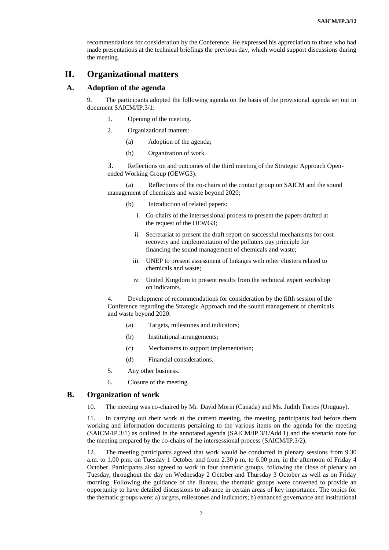recommendations for consideration by the Conference. He expressed his appreciation to those who had made presentations at the technical briefings the previous day, which would support discussions during the meeting.

# **II. Organizational matters**

## **A. Adoption of the agenda**

9. The participants adopted the following agenda on the basis of the provisional agenda set out in document SAICM/IP.3/1:

- 1. Opening of the meeting.
- 2. Organizational matters:
	- (a) Adoption of the agenda;
	- (b) Organization of work.

3. Reflections on and outcomes of the third meeting of the Strategic Approach Openended Working Group (OEWG3):

(a) Reflections of the co-chairs of the contact group on SAICM and the sound management of chemicals and waste beyond 2020;

- (b) Introduction of related papers:
	- i. Co-chairs of the intersessional process to present the papers drafted at the request of the OEWG3;
	- ii. Secretariat to present the draft report on successful mechanisms for cost recovery and implementation of the polluters pay principle for financing the sound management of chemicals and waste;
	- iii. UNEP to present assessment of linkages with other clusters related to chemicals and waste;
	- iv. United Kingdom to present results from the technical expert workshop on indicators.

4. Development of recommendations for consideration by the fifth session of the Conference regarding the Strategic Approach and the sound management of chemicals and waste beyond 2020:

- (a) Targets, milestones and indicators;
- (b) Institutional arrangements;
- (c) Mechanisms to support implementation;
- (d) Financial considerations.
- 5. Any other business.
- 6. Closure of the meeting.

## **B. Organization of work**

10. The meeting was co-chaired by Mr. David Morin (Canada) and Ms. Judith Torres (Uruguay).

11. In carrying out their work at the current meeting, the meeting participants had before them working and information documents pertaining to the various items on the agenda for the meeting (SAICM/IP.3/1) as outlined in the annotated agenda (SAICM/IP.3/1/Add.1) and the scenario note for the meeting prepared by the co-chairs of the intersessional process (SAICM/IP.3/2).

12. The meeting participants agreed that work would be conducted in plenary sessions from 9.30 a.m. to 1.00 p.m. on Tuesday 1 October and from 2.30 p.m. to 6.00 p.m. in the afternoon of Friday 4 October. Participants also agreed to work in four thematic groups, following the close of plenary on Tuesday, throughout the day on Wednesday 2 October and Thursday 3 October as well as on Friday morning. Following the guidance of the Bureau, the thematic groups were convened to provide an opportunity to have detailed discussions to advance in certain areas of key importance. The topics for the thematic groups were: a) targets, milestones and indicators; b) enhanced governance and institutional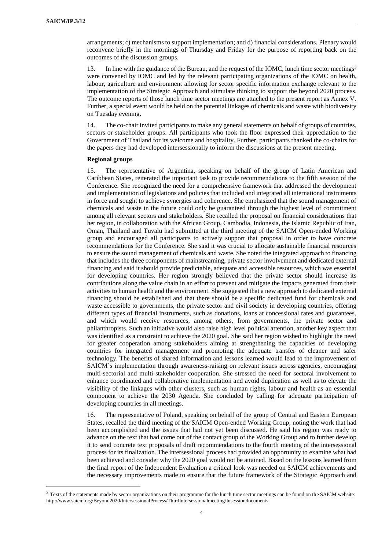$\overline{a}$ 

arrangements; c) mechanisms to support implementation; and d) financial considerations. Plenary would reconvene briefly in the mornings of Thursday and Friday for the purpose of reporting back on the outcomes of the discussion groups.

13. In line with the guidance of the Bureau, and the request of the IOMC, lunch time sector meetings<sup>3</sup> were convened by IOMC and led by the relevant participating organizations of the IOMC on health, labour, agriculture and environment allowing for sector specific information exchange relevant to the implementation of the Strategic Approach and stimulate thinking to support the beyond 2020 process. The outcome reports of those lunch time sector meetings are attached to the present report as Annex V. Further, a special event would be held on the potential linkages of chemicals and waste with biodiversity on Tuesday evening.

14. The co-chair invited participants to make any general statements on behalf of groups of countries, sectors or stakeholder groups. All participants who took the floor expressed their appreciation to the Government of Thailand for its welcome and hospitality. Further, participants thanked the co-chairs for the papers they had developed intersessionally to inform the discussions at the present meeting.

#### **Regional groups**

15. The representative of Argentina, speaking on behalf of the group of Latin American and Caribbean States, reiterated the important task to provide recommendations to the fifth session of the Conference. She recognized the need for a comprehensive framework that addressed the development and implementation of legislations and policies that included and integrated all international instruments in force and sought to achieve synergies and coherence. She emphasized that the sound management of chemicals and waste in the future could only be guaranteed through the highest level of commitment among all relevant sectors and stakeholders. She recalled the proposal on financial considerations that her region, in collaboration with the African Group, Cambodia, Indonesia, the Islamic Republic of Iran, Oman, Thailand and Tuvalu had submitted at the third meeting of the SAICM Open-ended Working group and encouraged all participants to actively support that proposal in order to have concrete recommendations for the Conference. She said it was crucial to allocate sustainable financial resources to ensure the sound management of chemicals and waste. She noted the integrated approach to financing that includes the three components of mainstreaming, private sector involvement and dedicated external financing and said it should provide predictable, adequate and accessible resources, which was essential for developing countries. Her region strongly believed that the private sector should increase its contributions along the value chain in an effort to prevent and mitigate the impacts generated from their activities to human health and the environment. She suggested that a new approach to dedicated external financing should be established and that there should be a specific dedicated fund for chemicals and waste accessible to governments, the private sector and civil society in developing countries, offering different types of financial instruments, such as donations, loans at concessional rates and guarantees, and which would receive resources, among others, from governments, the private sector and philanthropists. Such an initiative would also raise high level political attention, another key aspect that was identified as a constraint to achieve the 2020 goal. She said her region wished to highlight the need for greater cooperation among stakeholders aiming at strengthening the capacities of developing countries for integrated management and promoting the adequate transfer of cleaner and safer technology. The benefits of shared information and lessons learned would lead to the improvement of SAICM's implementation through awareness-raising on relevant issues across agencies, encouraging multi-sectorial and multi-stakeholder cooperation. She stressed the need for sectoral involvement to enhance coordinated and collaborative implementation and avoid duplication as well as to elevate the visibility of the linkages with other clusters, such as human rights, labour and health as an essential component to achieve the 2030 Agenda. She concluded by calling for adequate participation of developing countries in all meetings.

16. The representative of Poland, speaking on behalf of the group of Central and Eastern European States, recalled the third meeting of the SAICM Open-ended Working Group, noting the work that had been accomplished and the issues that had not yet been discussed. He said his region was ready to advance on the text that had come out of the contact group of the Working Group and to further develop it to send concrete text proposals of draft recommendations to the fourth meeting of the intersessional process for its finalization. The intersessional process had provided an opportunity to examine what had been achieved and consider why the 2020 goal would not be attained. Based on the lessons learned from the final report of the Independent Evaluation a critical look was needed on SAICM achievements and the necessary improvements made to ensure that the future framework of the Strategic Approach and

<sup>&</sup>lt;sup>3</sup> Texts of the statements made by sector organizations on their programme for the lunch time sector meetings can be found on the SAICM website: http://www.saicm.org/Beyond2020/IntersessionalProcess/ThirdIntersessionalmeeting/Insessiondocuments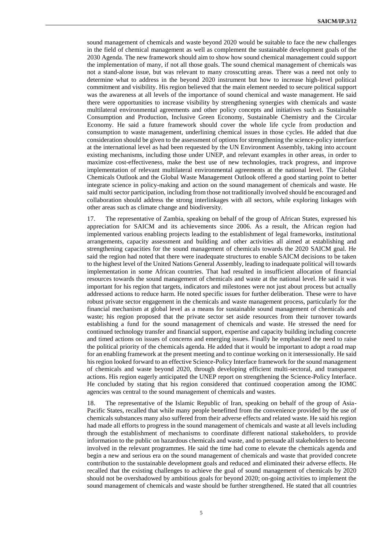sound management of chemicals and waste beyond 2020 would be suitable to face the new challenges in the field of chemical management as well as complement the sustainable development goals of the 2030 Agenda. The new framework should aim to show how sound chemical management could support the implementation of many, if not all those goals. The sound chemical management of chemicals was not a stand-alone issue, but was relevant to many crosscutting areas. There was a need not only to determine what to address in the beyond 2020 instrument but how to increase high-level political commitment and visibility. His region believed that the main element needed to secure political support was the awareness at all levels of the importance of sound chemical and waste management. He said there were opportunities to increase visibility by strengthening synergies with chemicals and waste multilateral environmental agreements and other policy concepts and initiatives such as Sustainable Consumption and Production, Inclusive Green Economy, Sustainable Chemistry and the Circular Economy. He said a future framework should cover the whole life cycle from production and consumption to waste management, underlining chemical issues in those cycles. He added that due consideration should be given to the assessment of options for strengthening the science-policy interface at the international level as had been requested by the UN Environment Assembly, taking into account existing mechanisms, including those under UNEP, and relevant examples in other areas, in order to maximize cost-effectiveness, make the best use of new technologies, track progress, and improve implementation of relevant multilateral environmental agreements at the national level. The Global Chemicals Outlook and the Global Waste Management Outlook offered a good starting point to better integrate science in policy-making and action on the sound management of chemicals and waste. He said multi sector participation, including from those not traditionally involved should be encouraged and collaboration should address the strong interlinkages with all sectors, while exploring linkages with other areas such as climate change and biodiversity.

17. The representative of Zambia, speaking on behalf of the group of African States, expressed his appreciation for SAICM and its achievements since 2006. As a result, the African region had implemented various enabling projects leading to the establishment of legal frameworks, institutional arrangements, capacity assessment and building and other activities all aimed at establishing and strengthening capacities for the sound management of chemicals towards the 2020 SAICM goal. He said the region had noted that there were inadequate structures to enable SAICM decisions to be taken to the highest level of the United Nations General Assembly, leading to inadequate political will towards implementation in some African countries. That had resulted in insufficient allocation of financial resources towards the sound management of chemicals and waste at the national level. He said it was important for his region that targets, indicators and milestones were not just about process but actually addressed actions to reduce harm. He noted specific issues for further deliberation. These were to have robust private sector engagement in the chemicals and waste management process, particularly for the financial mechanism at global level as a means for sustainable sound management of chemicals and waste; his region proposed that the private sector set aside resources from their turnover towards establishing a fund for the sound management of chemicals and waste. He stressed the need for continued technology transfer and financial support, expertise and capacity building including concrete and timed actions on issues of concerns and emerging issues. Finally he emphasized the need to raise the political priority of the chemicals agenda. He added that it would be important to adopt a road map for an enabling framework at the present meeting and to continue working on it intersessionally. He said his region looked forward to an effective Science-Policy Interface framework for the sound management of chemicals and waste beyond 2020, through developing efficient multi-sectoral, and transparent actions. His region eagerly anticipated the UNEP report on strengthening the Science-Policy Interface. He concluded by stating that his region considered that continued cooperation among the IOMC agencies was central to the sound management of chemicals and wastes.

18. The representative of the Islamic Republic of Iran, speaking on behalf of the group of Asia-Pacific States, recalled that while many people benefitted from the convenience provided by the use of chemicals substances many also suffered from their adverse effects and related waste. He said his region had made all efforts to progress in the sound management of chemicals and waste at all levels including through the establishment of mechanisms to coordinate different national stakeholders, to provide information to the public on hazardous chemicals and waste, and to persuade all stakeholders to become involved in the relevant programmes. He said the time had come to elevate the chemicals agenda and begin a new and serious era on the sound management of chemicals and waste that provided concrete contribution to the sustainable development goals and reduced and eliminated their adverse effects. He recalled that the existing challenges to achieve the goal of sound management of chemicals by 2020 should not be overshadowed by ambitious goals for beyond 2020; on-going activities to implement the sound management of chemicals and waste should be further strengthened. He stated that all countries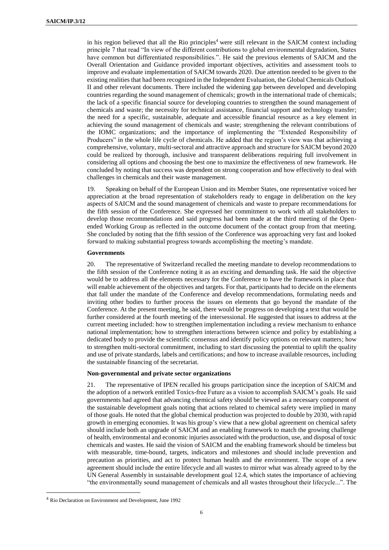in his region believed that all the Rio principles<sup>4</sup> were still relevant in the SAICM context including principle 7 that read "In view of the different contributions to global environmental degradation, States have common but differentiated responsibilities.". He said the previous elements of SAICM and the Overall Orientation and Guidance provided important objectives, activities and assessment tools to improve and evaluate implementation of SAICM towards 2020. Due attention needed to be given to the existing realities that had been recognized in the Independent Evaluation, the Global Chemicals Outlook II and other relevant documents. There included the widening gap between developed and developing countries regarding the sound management of chemicals; growth in the international trade of chemicals; the lack of a specific financial source for developing countries to strengthen the sound management of chemicals and waste; the necessity for technical assistance, financial support and technology transfer; the need for a specific, sustainable, adequate and accessible financial resource as a key element in achieving the sound management of chemicals and waste; strengthening the relevant contributions of the IOMC organizations; and the importance of implementing the "Extended Responsibility of Producers" in the whole life cycle of chemicals. He added that the region's view was that achieving a comprehensive, voluntary, multi-sectoral and attractive approach and structure for SAICM beyond 2020 could be realized by thorough, inclusive and transparent deliberations requiring full involvement in considering all options and choosing the best one to maximize the effectiveness of new framework. He concluded by noting that success was dependent on strong cooperation and how effectively to deal with challenges in chemicals and their waste management.

19. Speaking on behalf of the European Union and its Member States, one representative voiced her appreciation at the broad representation of stakeholders ready to engage in deliberation on the key aspects of SAICM and the sound management of chemicals and waste to prepare recommendations for the fifth session of the Conference. She expressed her commitment to work with all stakeholders to develop those recommendations and said progress had been made at the third meeting of the Openended Working Group as reflected in the outcome document of the contact group from that meeting. She concluded by noting that the fifth session of the Conference was approaching very fast and looked forward to making substantial progress towards accomplishing the meeting's mandate.

#### **Governments**

20. The representative of Switzerland recalled the meeting mandate to develop recommendations to the fifth session of the Conference noting it as an exciting and demanding task. He said the objective would be to address all the elements necessary for the Conference to have the framework in place that will enable achievement of the objectives and targets. For that, participants had to decide on the elements that fall under the mandate of the Conference and develop recommendations, formulating needs and inviting other bodies to further process the issues on elements that go beyond the mandate of the Conference. At the present meeting, he said, there would be progress on developing a text that would be further considered at the fourth meeting of the intersessional. He suggested that issues to address at the current meeting included: how to strengthen implementation including a review mechanism to enhance national implementation; how to strengthen interactions between science and policy by establishing a dedicated body to provide the scientific consensus and identify policy options on relevant matters; how to strengthen multi-sectoral commitment, including to start discussing the potential to uplift the quality and use of private standards, labels and certifications; and how to increase available resources, including the sustainable financing of the secretariat.

#### **Non-governmental and private sector organizations**

21. The representative of IPEN recalled his groups participation since the inception of SAICM and the adoption of a network entitled Toxics-free Future as a vision to accomplish SAICM's goals. He said governments had agreed that advancing chemical safety should be viewed as a necessary component of the sustainable development goals noting that actions related to chemical safety were implied in many of those goals. He noted that the global chemical production was projected to double by 2030, with rapid growth in emerging economies. It was his group's view that a new global agreement on chemical safety should include both an upgrade of SAICM and an enabling framework to match the growing challenge of health, environmental and economic injuries associated with the production, use, and disposal of toxic chemicals and wastes. He said the vision of SAICM and the enabling framework should be timeless but with measurable, time-bound, targets, indicators and milestones and should include prevention and precaution as priorities, and act to protect human health and the environment. The scope of a new agreement should include the entire lifecycle and all wastes to mirror what was already agreed to by the UN General Assembly in sustainable development goal 12.4, which states the importance of achieving "the environmentally sound management of chemicals and all wastes throughout their lifecycle...". The

 $\overline{a}$ 

<sup>4</sup> Rio Declaration on Environment and Development, June 1992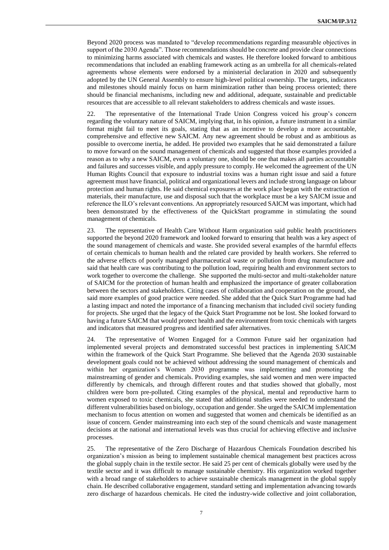Beyond 2020 process was mandated to "develop recommendations regarding measurable objectives in support of the 2030 Agenda". Those recommendations should be concrete and provide clear connections to minimizing harms associated with chemicals and wastes. He therefore looked forward to ambitious recommendations that included an enabling framework acting as an umbrella for all chemicals-related agreements whose elements were endorsed by a ministerial declaration in 2020 and subsequently adopted by the UN General Assembly to ensure high-level political ownership. The targets, indicators and milestones should mainly focus on harm minimization rather than being process oriented; there should be financial mechanisms, including new and additional, adequate, sustainable and predictable resources that are accessible to all relevant stakeholders to address chemicals and waste issues.

22. The representative of the International Trade Union Congress voiced his group's concern regarding the voluntary nature of SAICM, implying that, in his opinion, a future instrument in a similar format might fail to meet its goals, stating that as an incentive to develop a more accountable, comprehensive and effective new SAICM. Any new agreement should be robust and as ambitious as possible to overcome inertia, he added. He provided two examples that he said demonstrated a failure to move forward on the sound management of chemicals and suggested that those examples provided a reason as to why a new SAICM, even a voluntary one, should be one that makes all parties accountable and failures and successes visible, and apply pressure to comply. He welcomed the agreement of the UN Human Rights Council that exposure to industrial toxins was a human right issue and said a future agreement must have financial, political and organizational levers and include strong language on labour protection and human rights. He said chemical exposures at the work place began with the extraction of materials, their manufacture, use and disposal such that the workplace must be a key SAICM issue and reference the ILO's relevant conventions. An appropriately resourced SAICM was important, which had been demonstrated by the effectiveness of the QuickStart programme in stimulating the sound management of chemicals.

23. The representative of Health Care Without Harm organization said public health practitioners supported the beyond 2020 framework and looked forward to ensuring that health was a key aspect of the sound management of chemicals and waste. She provided several examples of the harmful effects of certain chemicals to human health and the related care provided by health workers. She referred to the adverse effects of poorly managed pharmaceutical waste or pollution from drug manufacture and said that health care was contributing to the pollution load, requiring health and environment sectors to work together to overcome the challenge. She supported the multi-sector and multi-stakeholder nature of SAICM for the protection of human health and emphasized the importance of greater collaboration between the sectors and stakeholders. Citing cases of collaboration and cooperation on the ground, she said more examples of good practice were needed. She added that the Quick Start Programme had had a lasting impact and noted the importance of a financing mechanism that included civil society funding for projects. She urged that the legacy of the Quick Start Programme not be lost. She looked forward to having a future SAICM that would protect health and the environment from toxic chemicals with targets and indicators that measured progress and identified safer alternatives.

24. The representative of Women Engaged for a Common Future said her organization had implemented several projects and demonstrated successful best practices in implementing SAICM within the framework of the Quick Start Programme. She believed that the Agenda 2030 sustainable development goals could not be achieved without addressing the sound management of chemicals and within her organization's Women 2030 programme was implementing and promoting the mainstreaming of gender and chemicals. Providing examples, she said women and men were impacted differently by chemicals, and through different routes and that studies showed that globally, most children were born pre-polluted. Citing examples of the physical, mental and reproductive harm to women exposed to toxic chemicals, she stated that additional studies were needed to understand the different vulnerabilities based on biology, occupation and gender. She urged the SAICM implementation mechanism to focus attention on women and suggested that women and chemicals be identified as an issue of concern. Gender mainstreaming into each step of the sound chemicals and waste management decisions at the national and international levels was thus crucial for achieving effective and inclusive processes.

25. The representative of the Zero Discharge of Hazardous Chemicals Foundation described his organization's mission as being to implement sustainable chemical management best practices across the global supply chain in the textile sector. He said 25 per cent of chemicals globally were used by the textile sector and it was difficult to manage sustainable chemistry. His organization worked together with a broad range of stakeholders to achieve sustainable chemicals management in the global supply chain. He described collaborative engagement, standard setting and implementation advancing towards zero discharge of hazardous chemicals. He cited the industry-wide collective and joint collaboration,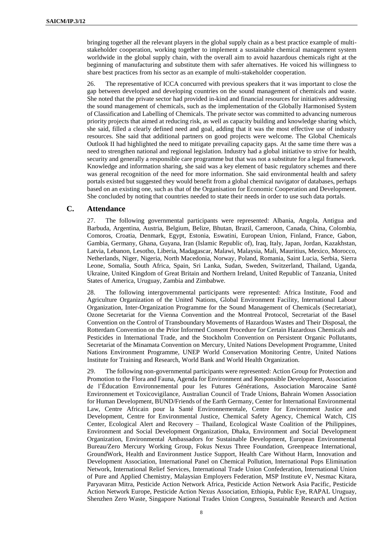bringing together all the relevant players in the global supply chain as a best practice example of multistakeholder cooperation, working together to implement a sustainable chemical management system worldwide in the global supply chain, with the overall aim to avoid hazardous chemicals right at the beginning of manufacturing and substitute them with safer alternatives. He voiced his willingness to share best practices from his sector as an example of multi-stakeholder cooperation.

26. The representative of ICCA concurred with previous speakers that it was important to close the gap between developed and developing countries on the sound management of chemicals and waste. She noted that the private sector had provided in-kind and financial resources for initiatives addressing the sound management of chemicals, such as the implementation of the Globally Harmonised System of Classification and Labelling of Chemicals. The private sector was committed to advancing numerous priority projects that aimed at reducing risk, as well as capacity building and knowledge sharing which, she said, filled a clearly defined need and goal, adding that it was the most effective use of industry resources. She said that additional partners on good projects were welcome. The Global Chemicals Outlook II had highlighted the need to mitigate prevailing capacity gaps. At the same time there was a need to strengthen national and regional legislation. Industry had a global initiative to strive for health, security and generally a responsible care programme but that was not a substitute for a legal framework. Knowledge and information sharing, she said was a key element of basic regulatory schemes and there was general recognition of the need for more information. She said environmental health and safety portals existed but suggested they would benefit from a global chemical navigator of databases, perhaps based on an existing one, such as that of the Organisation for Economic Cooperation and Development. She concluded by noting that countries needed to state their needs in order to use such data portals.

## **C. Attendance**

27. The following governmental participants were represented: Albania, Angola, Antigua and Barbuda, Argentina, Austria, Belgium, Belize, Bhutan, Brazil, Cameroon, Canada, China, Colombia, Comoros, Croatia, Denmark, Egypt, Estonia, Eswatini, European Union, Finland, France, Gabon, Gambia, Germany, Ghana, Guyana, Iran (Islamic Republic of), Iraq, Italy, Japan, Jordan, Kazakhstan, Latvia, Lebanon, Lesotho, Liberia, Madagascar, Malawi, Malaysia, Mali, Mauritius, Mexico, Morocco, Netherlands, Niger, Nigeria, North Macedonia, Norway, Poland, Romania, Saint Lucia, Serbia, Sierra Leone, Somalia, South Africa, Spain, Sri Lanka, Sudan, Sweden, Switzerland, Thailand, Uganda, Ukraine, United Kingdom of Great Britain and Northern Ireland, United Republic of Tanzania, United States of America, Uruguay, Zambia and Zimbabwe.

28. The following intergovernmental participants were represented: Africa Institute, Food and Agriculture Organization of the United Nations, Global Environment Facility, International Labour Organization, Inter-Organization Programme for the Sound Management of Chemicals (Secretariat), Ozone Secretariat for the Vienna Convention and the Montreal Protocol, Secretariat of the Basel Convention on the Control of Transboundary Movements of Hazardous Wastes and Their Disposal, the Rotterdam Convention on the Prior Informed Consent Procedure for Certain Hazardous Chemicals and Pesticides in International Trade, and the Stockholm Convention on Persistent Organic Pollutants, Secretariat of the Minamata Convention on Mercury, United Nations Development Programme, United Nations Environment Programme, UNEP World Conservation Monitoring Centre, United Nations Institute for Training and Research, World Bank and World Health Organization.

29. The following non-governmental participants were represented: Action Group for Protection and Promotion to the Flora and Fauna, Agenda for Environment and Responsible Development, Association de l'Éducation Environnemental pour les Futures Générations, Association Marocaine Santé Environnement et Toxicovigilance, Australian Council of Trade Unions, Bahrain Women Association for Human Development, BUND/Friends of the Earth Germany, Center for International Environmental Law, Centre Africain pour la Santé Environnementale, Centre for Environment Justice and Development, Centre for Environmental Justice, Chemical Safety Agency, Chemical Watch, CIS Center, Ecological Alert and Recovery – Thailand, Ecological Waste Coalition of the Philippines, Environment and Social Development Organization, Dhaka, Environment and Social Development Organization, Environmental Ambassadors for Sustainable Development, European Environmental Bureau/Zero Mercury Working Group, Fokus Nexus Three Foundation, Greenpeace International, GroundWork, Health and Environment Justice Support, Health Care Without Harm, Innovation and Development Association, International Panel on Chemical Pollution, International Pops Elimination Network, International Relief Services, International Trade Union Confederation, International Union of Pure and Applied Chemistry, Malaysian Employers Federation, MSP Institute eV, Nesmac Kitara, Paryavaran Mitra, Pesticide Action Network Africa, Pesticide Action Network Asia Pacific, Pesticide Action Network Europe, Pesticide Action Nexus Association, Ethiopia, Public Eye, RAPAL Uruguay, Shenzhen Zero Waste, Singapore National Trades Union Congress, Sustainable Research and Action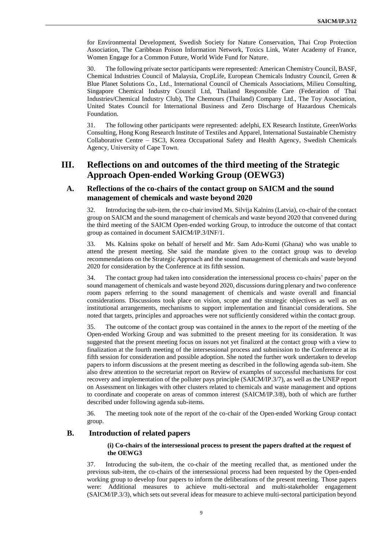for Environmental Development, Swedish Society for Nature Conservation, Thai Crop Protection Association, The Caribbean Poison Information Network, Toxics Link, Water Academy of France, Women Engage for a Common Future, World Wide Fund for Nature.

30. The following private sector participants were represented: American Chemistry Council, BASF, Chemical Industries Council of Malaysia, CropLife, European Chemicals Industry Council, Green & Blue Planet Solutions Co., Ltd., International Council of Chemicals Associations, Milieu Consulting, Singapore Chemical Industry Council Ltd, Thailand Responsible Care (Federation of Thai Industries/Chemical Industry Club), The Chemours (Thailand) Company Ltd., The Toy Association, United States Council for International Business and Zero Discharge of Hazardous Chemicals Foundation.

31. The following other participants were represented: adelphi, EX Research Institute, GreenWorks Consulting, Hong Kong Research Institute of Textiles and Apparel, International Sustainable Chemistry Collaborative Centre – ISC3, Korea Occupational Safety and Health Agency, Swedish Chemicals Agency, University of Cape Town.

# **III. Reflections on and outcomes of the third meeting of the Strategic Approach Open-ended Working Group (OEWG3)**

## **A. Reflections of the co-chairs of the contact group on SAICM and the sound management of chemicals and waste beyond 2020**

32. Introducing the sub-item, the co-chair invited Ms. Silvija Kalnins (Latvia), co-chair of the contact group on SAICM and the sound management of chemicals and waste beyond 2020 that convened during the third meeting of the SAICM Open-ended working Group, to introduce the outcome of that contact group as contained in document SAICM/IP.3/INF/1.

33. Ms. Kalnins spoke on behalf of herself and Mr. Sam Adu-Kumi (Ghana) who was unable to attend the present meeting. She said the mandate given to the contact group was to develop recommendations on the Strategic Approach and the sound management of chemicals and waste beyond 2020 for consideration by the Conference at its fifth session.

34. The contact group had taken into consideration the intersessional process co-chairs' paper on the sound management of chemicals and waste beyond 2020, discussions during plenary and two conference room papers referring to the sound management of chemicals and waste overall and financial considerations. Discussions took place on vision, scope and the strategic objectives as well as on institutional arrangements, mechanisms to support implementation and financial considerations. She noted that targets, principles and approaches were not sufficiently considered within the contact group.

35. The outcome of the contact group was contained in the annex to the report of the meeting of the Open-ended Working Group and was submitted to the present meeting for its consideration. It was suggested that the present meeting focus on issues not yet finalized at the contact group with a view to finalization at the fourth meeting of the intersessional process and submission to the Conference at its fifth session for consideration and possible adoption. She noted the further work undertaken to develop papers to inform discussions at the present meeting as described in the following agenda sub-item. She also drew attention to the secretariat report on Review of examples of successful mechanisms for cost recovery and implementation of the polluter pays principle (SAICM/IP.3/7), as well as the UNEP report on Assessment on linkages with other clusters related to chemicals and waste management and options to coordinate and cooperate on areas of common interest (SAICM/IP.3/8), both of which are further described under following agenda sub-items.

36. The meeting took note of the report of the co-chair of the Open-ended Working Group contact group.

## **B. Introduction of related papers**

### **(i) Co-chairs of the intersessional process to present the papers drafted at the request of the OEWG3**

37. Introducing the sub-item, the co-chair of the meeting recalled that, as mentioned under the previous sub-item, the co-chairs of the intersessional process had been requested by the Open-ended working group to develop four papers to inform the deliberations of the present meeting. Those papers were: Additional measures to achieve multi-sectoral and multi-stakeholder engagement (SAICM/IP.3/3), which sets out several ideas for measure to achieve multi-sectoral participation beyond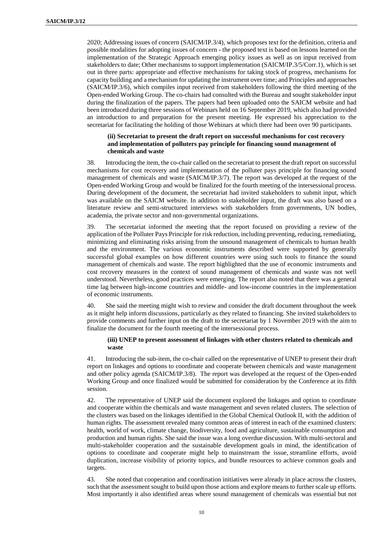2020; Addressing issues of concern (SAICM/IP.3/4), which proposes text for the definition, criteria and possible modalities for adopting issues of concern - the proposed text is based on lessons learned on the implementation of the Strategic Approach emerging policy issues as well as on input received from stakeholders to date; Other mechanisms to support implementation (SAICM/IP.3/5/Corr.1), which is set out in three parts: appropriate and effective mechanisms for taking stock of progress, mechanisms for capacity building and a mechanism for updating the instrument over time; and Principles and approaches (SAICM/IP.3/6), which compiles input received from stakeholders following the third meeting of the Open-ended Working Group. The co-chairs had consulted with the Bureau and sought stakeholder input during the finalization of the papers. The papers had been uploaded onto the SAICM website and had been introduced during three sessions of Webinars held on 16 September 2019, which also had provided an introduction to and preparation for the present meeting. He expressed his appreciation to the secretariat for facilitating the holding of those Webinars at which there had been over 90 participants.

### **(ii) Secretariat to present the draft report on successful mechanisms for cost recovery and implementation of polluters pay principle for financing sound management of chemicals and waste**

38. Introducing the item, the co-chair called on the secretariat to present the draft report on successful mechanisms for cost recovery and implementation of the polluter pays principle for financing sound management of chemicals and waste (SAICM/IP.3/7). The report was developed at the request of the Open-ended Working Group and would be finalized for the fourth meeting of the intersessional process. During development of the document, the secretariat had invited stakeholders to submit input, which was available on the SAICM website. In addition to stakeholder input, the draft was also based on a literature review and semi-structured interviews with stakeholders from governments, UN bodies, academia, the private sector and non-governmental organizations.

39. The secretariat informed the meeting that the report focused on providing a review of the application of the Polluter Pays Principle for risk reduction, including preventing, reducing, remediating, minimizing and eliminating risks arising from the unsound management of chemicals to human health and the environment. The various economic instruments described were supported by generally successful global examples on how different countries were using such tools to finance the sound management of chemicals and waste. The report highlighted that the use of economic instruments and cost recovery measures in the context of sound management of chemicals and waste was not well understood. Nevertheless, good practices were emerging. The report also noted that there was a general time lag between high-income countries and middle- and low-income countries in the implementation of economic instruments.

40. She said the meeting might wish to review and consider the draft document throughout the week as it might help inform discussions, particularly as they related to financing. She invited stakeholders to provide comments and further input on the draft to the secretariat by 1 November 2019 with the aim to finalize the document for the fourth meeting of the intersessional process.

#### **(iii) UNEP to present assessment of linkages with other clusters related to chemicals and waste**

41. Introducing the sub-item, the co-chair called on the representative of UNEP to present their draft report on linkages and options to coordinate and cooperate between chemicals and waste management and other policy agenda (SAICM/IP.3/8). The report was developed at the request of the Open-ended Working Group and once finalized would be submitted for consideration by the Conference at its fifth session.

42. The representative of UNEP said the document explored the linkages and option to coordinate and cooperate within the chemicals and waste management and seven related clusters. The selection of the clusters was based on the linkages identified in the Global Chemical Outlook II, with the addition of human rights. The assessment revealed many common areas of interest in each of the examined clusters: health, world of work, climate change, biodiversity, food and agriculture, sustainable consumption and production and human rights. She said the issue was a long overdue discussion. With multi-sectoral and multi-stakeholder cooperation and the sustainable development goals in mind, the identification of options to coordinate and cooperate might help to mainstream the issue, streamline efforts, avoid duplication, increase visibility of priority topics, and bundle resources to achieve common goals and targets.

43. She noted that cooperation and coordination initiatives were already in place across the clusters, such that the assessment sought to build upon those actions and explore means to further scale up efforts. Most importantly it also identified areas where sound management of chemicals was essential but not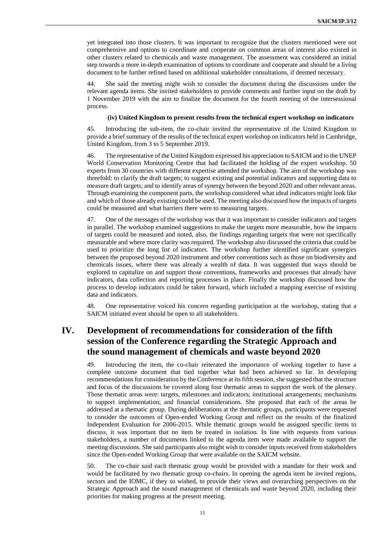yet integrated into those clusters. It was important to recognize that the clusters mentioned were not comprehensive and options to coordinate and cooperate on common areas of interest also existed in other clusters related to chemicals and waste management. The assessment was considered an initial step towards a more in-depth examination of options to coordinate and cooperate and should be a living document to be further refined based on additional stakeholder consultations, if deemed necessary.

44. She said the meeting might wish to consider the document during the discussions under the relevant agenda items. She invited stakeholders to provide comments and further input on the draft by 1 November 2019 with the aim to finalize the document for the fourth meeting of the intersessional process.

#### **(iv) United Kingdom to present results from the technical expert workshop on indicators**

45. Introducing the sub-item, the co-chair invited the representative of the United Kingdom to provide a brief summary of the results of the technical expert workshop on indicators held in Cambridge, United Kingdom, from 3 to 5 September 2019.

46. The representative of the United Kingdom expressed his appreciation to SAICM and to the UNEP World Conservation Monitoring Centre that had facilitated the holding of the expert workshop. 50 experts from 30 countries with different expertise attended the workshop. The aim of the workshop was threefold: to clarify the draft targets; to suggest existing and potential indicators and supporting data to measure draft targets; and to identify areas of synergy between the beyond 2020 and other relevant areas. Through examining the component parts, the workshop considered what ideal indicators might look like and which of those already existing could be used. The meeting also discussed how the impacts of targets could be measured and what barriers there were to measuring targets.

47. One of the messages of the workshop was that it was important to consider indicators and targets in parallel. The workshop examined suggestions to make the targets more measurable, how the impacts of targets could be measured and noted, also, the findings regarding targets that were not specifically measurable and where more clarity was required. The workshop also discussed the criteria that could be used to prioritize the long list of indicators. The workshop further identified significant synergies between the proposed beyond 2020 instrument and other conventions such as those on biodiversity and chemicals issues, where there was already a wealth of data. It was suggested that ways should be explored to capitalize on and support those conventions, frameworks and processes that already have indicators, data collection and reporting processes in place. Finally the workshop discussed how the process to develop indicators could be taken forward, which included a mapping exercise of existing data and indicators.

48. One representative voiced his concern regarding participation at the workshop, stating that a SAICM initiated event should be open to all stakeholders.

# **IV. Development of recommendations for consideration of the fifth session of the Conference regarding the Strategic Approach and the sound management of chemicals and waste beyond 2020**

49. Introducing the item, the co-chair reiterated the importance of working together to have a complete outcome document that tied together what had been achieved so far. In developing recommendations for consideration by the Conference at its fifth session, she suggested that the structure and focus of the discussions be covered along four thematic areas to support the work of the plenary. Those thematic areas were: targets, milestones and indicators; institutional arrangements; mechanisms to support implementation; and financial considerations. She proposed that each of the areas be addressed at a thematic group. During deliberations at the thematic groups, participants were requested to consider the outcomes of Open-ended Working Group and reflect on the results of the finalized Independent Evaluation for 2006-2015. While thematic groups would be assigned specific items to discuss, it was important that no item be treated in isolation. In line with requests from various stakeholders, a number of documents linked to the agenda item were made available to support the meeting discussions. She said participants also might wish to consider inputs received from stakeholders since the Open-ended Working Group that were available on the SAICM website.

50. The co-chair said each thematic group would be provided with a mandate for their work and would be facilitated by two thematic group co-chairs. In opening the agenda item he invited regions, sectors and the IOMC, if they so wished, to provide their views and overarching perspectives on the Strategic Approach and the sound management of chemicals and waste beyond 2020, including their priorities for making progress at the present meeting.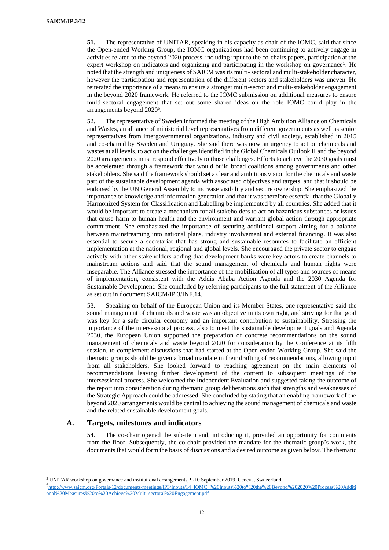**51.** The representative of UNITAR, speaking in his capacity as chair of the IOMC, said that since the Open-ended Working Group, the IOMC organizations had been continuing to actively engage in activities related to the beyond 2020 process, including input to the co-chairs papers, participation at the expert workshop on indicators and organizing and participating in the workshop on governance<sup>5</sup>. He noted that the strength and uniqueness of SAICM was its multi- sectoral and multi-stakeholder character, however the participation and representation of the different sectors and stakeholders was uneven. He reiterated the importance of a means to ensure a stronger multi-sector and multi-stakeholder engagement in the beyond 2020 framework. He referred to the IOMC submission on additional measures to ensure multi-sectoral engagement that set out some shared ideas on the role IOMC could play in the arrangements beyond 2020<sup>6</sup>.

52. The representative of Sweden informed the meeting of the High Ambition Alliance on Chemicals and Wastes, an alliance of ministerial level representatives from different governments as well as senior representatives from intergovernmental organizations, industry and civil society, established in 2015 and co-chaired by Sweden and Uruguay. She said there was now an urgency to act on chemicals and wastes at all levels, to act on the challenges identified in the Global Chemicals Outlook II and the beyond 2020 arrangements must respond effectively to those challenges. Efforts to achieve the 2030 goals must be accelerated through a framework that would build broad coalitions among governments and other stakeholders. She said the framework should set a clear and ambitious vision for the chemicals and waste part of the sustainable development agenda with associated objectives and targets, and that it should be endorsed by the UN General Assembly to increase visibility and secure ownership. She emphasized the importance of knowledge and information generation and that it was therefore essential that the Globally Harmonized System for Classification and Labelling be implemented by all countries. She added that it would be important to create a mechanism for all stakeholders to act on hazardous substances or issues that cause harm to human health and the environment and warrant global action through appropriate commitment. She emphasized the importance of securing additional support aiming for a balance between mainstreaming into national plans, industry involvement and external financing. It was also essential to secure a secretariat that has strong and sustainable resources to facilitate an efficient implementation at the national, regional and global levels. She encouraged the private sector to engage actively with other stakeholders adding that development banks were key actors to create channels to mainstream actions and said that the sound management of chemicals and human rights were inseparable. The Alliance stressed the importance of the mobilization of all types and sources of means of implementation, consistent with the Addis Ababa Action Agenda and the 2030 Agenda for Sustainable Development. She concluded by referring participants to the full statement of the Alliance as set out in document SAICM/IP.3/INF.14.

53. Speaking on behalf of the European Union and its Member States, one representative said the sound management of chemicals and waste was an objective in its own right, and striving for that goal was key for a safe circular economy and an important contribution to sustainability. Stressing the importance of the intersessional process, also to meet the sustainable development goals and Agenda 2030, the European Union supported the preparation of concrete recommendations on the sound management of chemicals and waste beyond 2020 for consideration by the Conference at its fifth session, to complement discussions that had started at the Open-ended Working Group. She said the thematic groups should be given a broad mandate in their drafting of recommendations, allowing input from all stakeholders. She looked forward to reaching agreement on the main elements of recommendations leaving further development of the content to subsequent meetings of the intersessional process. She welcomed the Independent Evaluation and suggested taking the outcome of the report into consideration during thematic group deliberations such that strengths and weaknesses of the Strategic Approach could be addressed. She concluded by stating that an enabling framework of the beyond 2020 arrangements would be central to achieving the sound management of chemicals and waste and the related sustainable development goals.

## **A. Targets, milestones and indicators**

 $\overline{a}$ 

54. The co-chair opened the sub-item and, introducing it, provided an opportunity for comments from the floor. Subsequently, the co-chair provided the mandate for the thematic group's work, the documents that would form the basis of discussions and a desired outcome as given below. The thematic

<sup>5</sup> UNITAR workshop on governance and institutional arrangements, 9-10 September 2019, Geneva, Switzerland 6 [http://www.saicm.org/Portals/12/documents/meetings/IP3/Inputs/14\\_IOMC\\_%20Inputs%20to%20the%20Beyond%202020%20Process%20Additi](http://www.saicm.org/Portals/12/documents/meetings/IP3/Inputs/14_IOMC_%20Inputs%20to%20the%20Beyond%202020%20Process%20Additional%20Measures%20to%20Achieve%20Multi-sectoral%20Engagement.pdf) [onal%20Measures%20to%20Achieve%20Multi-sectoral%20Engagement.pdf](http://www.saicm.org/Portals/12/documents/meetings/IP3/Inputs/14_IOMC_%20Inputs%20to%20the%20Beyond%202020%20Process%20Additional%20Measures%20to%20Achieve%20Multi-sectoral%20Engagement.pdf)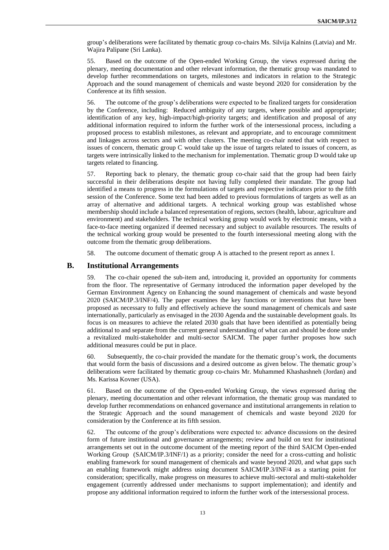group's deliberations were facilitated by thematic group co-chairs Ms. Silvija Kalnins (Latvia) and Mr. Wajira Palipane (Sri Lanka).

55. Based on the outcome of the Open-ended Working Group, the views expressed during the plenary, meeting documentation and other relevant information, the thematic group was mandated to develop further recommendations on targets, milestones and indicators in relation to the Strategic Approach and the sound management of chemicals and waste beyond 2020 for consideration by the Conference at its fifth session.

56. The outcome of the group's deliberations were expected to be finalized targets for consideration by the Conference, including: Reduced ambiguity of any targets, where possible and appropriate; identification of any key, high-impact/high-priority targets; and identification and proposal of any additional information required to inform the further work of the intersessional process, including a proposed process to establish milestones, as relevant and appropriate, and to encourage commitment and linkages across sectors and with other clusters. The meeting co-chair noted that with respect to issues of concern, thematic group C would take up the issue of targets related to issues of concern, as targets were intrinsically linked to the mechanism for implementation. Thematic group D would take up targets related to financing.

57. Reporting back to plenary, the thematic group co-chair said that the group had been fairly successful in their deliberations despite not having fully completed their mandate. The group had identified a means to progress in the formulations of targets and respective indicators prior to the fifth session of the Conference. Some text had been added to previous formulations of targets as well as an array of alternative and additional targets. A technical working group was established whose membership should include a balanced representation of regions, sectors (health, labour, agriculture and environment) and stakeholders. The technical working group would work by electronic means, with a face-to-face meeting organized if deemed necessary and subject to available resources. The results of the technical working group would be presented to the fourth intersessional meeting along with the outcome from the thematic group deliberations.

58. The outcome document of thematic group A is attached to the present report as annex I.

## **B. Institutional Arrangements**

59. The co-chair opened the sub-item and, introducing it, provided an opportunity for comments from the floor. The representative of Germany introduced the information paper developed by the German Environment Agency on Enhancing the sound management of chemicals and waste beyond 2020 (SAICM/IP.3/INF/4). The paper examines the key functions or interventions that have been proposed as necessary to fully and effectively achieve the sound management of chemicals and saste internationally, particularly as envisaged in the 2030 Agenda and the sustainable development goals. Its focus is on measures to achieve the related 2030 goals that have been identified as potentially being additional to and separate from the current general understanding of what can and should be done under a revitalized multi-stakeholder and multi-sector SAICM. The paper further proposes how such additional measures could be put in place.

60. Subsequently, the co-chair provided the mandate for the thematic group's work, the documents that would form the basis of discussions and a desired outcome as given below. The thematic group's deliberations were facilitated by thematic group co-chairs Mr. Muhammed Khashashneh (Jordan) and Ms. Karissa Kovner (USA).

61. Based on the outcome of the Open-ended Working Group, the views expressed during the plenary, meeting documentation and other relevant information, the thematic group was mandated to develop further recommendations on enhanced governance and institutional arrangements in relation to the Strategic Approach and the sound management of chemicals and waste beyond 2020 for consideration by the Conference at its fifth session.

62. The outcome of the group's deliberations were expected to: advance discussions on the desired form of future institutional and governance arrangements; review and build on text for institutional arrangements set out in the outcome document of the meeting report of the third SAICM Open-ended Working Group (SAICM/IP.3/INF/1) as a priority; consider the need for a cross-cutting and holistic enabling framework for sound management of chemicals and waste beyond 2020, and what gaps such an enabling framework might address using document SAICM/IP.3/INF/4 as a starting point for consideration; specifically, make progress on measures to achieve multi-sectoral and multi-stakeholder engagement (currently addressed under mechanisms to support implementation); and identify and propose any additional information required to inform the further work of the intersessional process.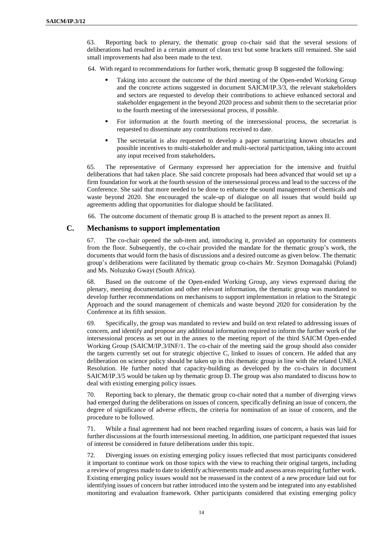63. Reporting back to plenary, the thematic group co-chair said that the several sessions of deliberations had resulted in a certain amount of clean text but some brackets still remained. She said small improvements had also been made to the text.

64. With regard to recommendations for further work, thematic group B suggested the following:

- Taking into account the outcome of the third meeting of the Open-ended Working Group and the concrete actions suggested in document SAICM/IP.3/3, the relevant stakeholders and sectors are requested to develop their contributions to achieve enhanced sectoral and stakeholder engagement in the beyond 2020 process and submit them to the secretariat prior to the fourth meeting of the intersessional process, if possible.
- For information at the fourth meeting of the intersessional process, the secretariat is requested to disseminate any contributions received to date.
- The secretariat is also requested to develop a paper summarizing known obstacles and possible incentives to multi-stakeholder and multi-sectoral participation, taking into account any input received from stakeholders**.**

65. The representative of Germany expressed her appreciation for the intensive and fruitful deliberations that had taken place. She said concrete proposals had been advanced that would set up a firm foundation for work at the fourth session of the intersessional process and lead to the success of the Conference. She said that more needed to be done to enhance the sound management of chemicals and waste beyond 2020. She encouraged the scale-up of dialogue on all issues that would build up agreements adding that opportunities for dialogue should be facilitated.

66. The outcome document of thematic group B is attached to the present report as annex II.

## **C. Mechanisms to support implementation**

67. The co-chair opened the sub-item and, introducing it, provided an opportunity for comments from the floor. Subsequently, the co-chair provided the mandate for the thematic group's work, the documents that would form the basis of discussions and a desired outcome as given below. The thematic group's deliberations were facilitated by thematic group co-chairs Mr. Szymon Domagalski (Poland) and Ms. Noluzuko Gwayi (South Africa).

68. Based on the outcome of the Open-ended Working Group, any views expressed during the plenary, meeting documentation and other relevant information, the thematic group was mandated to develop further recommendations on mechanisms to support implementation in relation to the Strategic Approach and the sound management of chemicals and waste beyond 2020 for consideration by the Conference at its fifth session.

69. Specifically, the group was mandated to review and build on text related to addressing issues of concern, and identify and propose any additional information required to inform the further work of the intersessional process as set out in the annex to the meeting report of the third SAICM Open-ended Working Group (SAICM/IP.3/INF/1. The co-chair of the meeting said the group should also consider the targets currently set out for strategic objective C, linked to issues of concern. He added that any deliberation on science policy should be taken up in this thematic group in line with the related UNEA Resolution. He further noted that capacity-building as developed by the co-chairs in document SAICM/IP.3/5 would be taken up by thematic group D. The group was also mandated to discuss how to deal with existing emerging policy issues.

70. Reporting back to plenary, the thematic group co-chair noted that a number of diverging views had emerged during the deliberations on issues of concern, specifically defining an issue of concern, the degree of significance of adverse effects, the criteria for nomination of an issue of concern, and the procedure to be followed.

71. While a final agreement had not been reached regarding issues of concern, a basis was laid for further discussions at the fourth intersessional meeting. In addition, one participant requested that issues of interest be considered in future deliberations under this topic.

72. Diverging issues on existing emerging policy issues reflected that most participants considered it important to continue work on those topics with the view to reaching their original targets, including a review of progress made to date to identify achievements made and assess areas requiring further work. Existing emerging policy issues would not be reassessed in the context of a new procedure laid out for identifying issues of concern but rather introduced into the system and be integrated into any established monitoring and evaluation framework. Other participants considered that existing emerging policy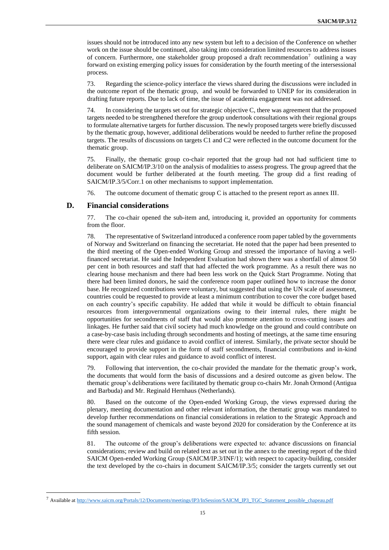issues should not be introduced into any new system but left to a decision of the Conference on whether work on the issue should be continued, also taking into consideration limited resources to address issues of concern. Furthermore, one stakeholder group proposed a draft recommendation<sup>7</sup> outlining a way forward on existing emerging policy issues for consideration by the fourth meeting of the intersessional process.

73. Regarding the science-policy interface the views shared during the discussions were included in the outcome report of the thematic group, and would be forwarded to UNEP for its consideration in drafting future reports. Due to lack of time, the issue of academia engagement was not addressed.

74. In considering the targets set out for strategic objective C, there was agreement that the proposed targets needed to be strengthened therefore the group undertook consultations with their regional groups to formulate alternative targets for further discussion. The newly proposed targets were briefly discussed by the thematic group, however, additional deliberations would be needed to further refine the proposed targets. The results of discussions on targets C1 and C2 were reflected in the outcome document for the thematic group.

75. Finally, the thematic group co-chair reported that the group had not had sufficient time to deliberate on SAICM/IP.3/10 on the analysis of modalities to assess progress. The group agreed that the document would be further deliberated at the fourth meeting. The group did a first reading of SAICM/IP.3/5/Corr.1 on other mechanisms to support implementation.

76. The outcome document of thematic group C is attached to the present report as annex III.

## **D. Financial considerations**

 $\overline{a}$ 

77. The co-chair opened the sub-item and, introducing it, provided an opportunity for comments from the floor.

78. The representative of Switzerland introduced a conference room paper tabled by the governments of Norway and Switzerland on financing the secretariat. He noted that the paper had been presented to the third meeting of the Open-ended Working Group and stressed the importance of having a wellfinanced secretariat. He said the Independent Evaluation had shown there was a shortfall of almost 50 per cent in both resources and staff that had affected the work programme. As a result there was no clearing house mechanism and there had been less work on the Quick Start Programme. Noting that there had been limited donors, he said the conference room paper outlined how to increase the donor base. He recognized contributions were voluntary, but suggested that using the UN scale of assessment, countries could be requested to provide at least a minimum contribution to cover the core budget based on each country's specific capability. He added that while it would be difficult to obtain financial resources from intergovernmental organizations owing to their internal rules, there might be opportunities for secondments of staff that would also promote attention to cross-cutting issues and linkages. He further said that civil society had much knowledge on the ground and could contribute on a case-by-case basis including through secondments and hosting of meetings, at the same time ensuring there were clear rules and guidance to avoid conflict of interest. Similarly, the private sector should be encouraged to provide support in the form of staff secondments, financial contributions and in-kind support, again with clear rules and guidance to avoid conflict of interest.

79. Following that intervention, the co-chair provided the mandate for the thematic group's work, the documents that would form the basis of discussions and a desired outcome as given below. The thematic group's deliberations were facilitated by thematic group co-chairs Mr. Jonah Ormond (Antigua and Barbuda) and Mr. Reginald Hernhaus (Netherlands).

80. Based on the outcome of the Open-ended Working Group, the views expressed during the plenary, meeting documentation and other relevant information, the thematic group was mandated to develop further recommendations on financial considerations in relation to the Strategic Approach and the sound management of chemicals and waste beyond 2020 for consideration by the Conference at its fifth session.

81. The outcome of the group's deliberations were expected to: advance discussions on financial considerations; review and build on related text as set out in the annex to the meeting report of the third SAICM Open-ended Working Group (SAICM/IP.3/INF/1); with respect to capacity-building, consider the text developed by the co-chairs in document SAICM/IP.3/5; consider the targets currently set out

<sup>7</sup> Available a[t http://www.saicm.org/Portals/12/Documents/meetings/IP3/InSession/SAICM\\_IP3\\_TGC\\_Statement\\_possible\\_chapeau.pdf](http://www.saicm.org/Portals/12/Documents/meetings/IP3/InSession/SAICM_IP3_TGC_Statement_possible_chapeau.pdf)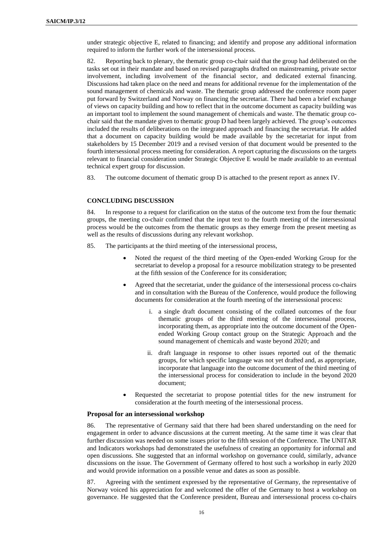under strategic objective E, related to financing; and identify and propose any additional information required to inform the further work of the intersessional process.

82. Reporting back to plenary, the thematic group co-chair said that the group had deliberated on the tasks set out in their mandate and based on revised paragraphs drafted on mainstreaming, private sector involvement, including involvement of the financial sector, and dedicated external financing. Discussions had taken place on the need and means for additional revenue for the implementation of the sound management of chemicals and waste. The thematic group addressed the conference room paper put forward by Switzerland and Norway on financing the secretariat. There had been a brief exchange of views on capacity building and how to reflect that in the outcome document as capacity building was an important tool to implement the sound management of chemicals and waste. The thematic group cochair said that the mandate given to thematic group D had been largely achieved. The group's outcomes included the results of deliberations on the integrated approach and financing the secretariat. He added that a document on capacity building would be made available by the secretariat for input from stakeholders by 15 December 2019 and a revised version of that document would be presented to the fourth intersessional process meeting for consideration. A report capturing the discussions on the targets relevant to financial consideration under Strategic Objective E would be made available to an eventual technical expert group for discussion.

83. The outcome document of thematic group D is attached to the present report as annex IV.

#### **CONCLUDING DISCUSSION**

84. In response to a request for clarification on the status of the outcome text from the four thematic groups, the meeting co-chair confirmed that the input text to the fourth meeting of the intersessional process would be the outcomes from the thematic groups as they emerge from the present meeting as well as the results of discussions during any relevant workshop.

- 85. The participants at the third meeting of the intersessional process,
	- Noted the request of the third meeting of the Open-ended Working Group for the secretariat to develop a proposal for a resource mobilization strategy to be presented at the fifth session of the Conference for its consideration;
	- Agreed that the secretariat, under the guidance of the intersessional process co-chairs and in consultation with the Bureau of the Conference, would produce the following documents for consideration at the fourth meeting of the intersessional process:
		- i. a single draft document consisting of the collated outcomes of the four thematic groups of the third meeting of the intersessional process, incorporating them, as appropriate into the outcome document of the Openended Working Group contact group on the Strategic Approach and the sound management of chemicals and waste beyond 2020; and
		- ii. draft language in response to other issues reported out of the thematic groups, for which specific language was not yet drafted and, as appropriate, incorporate that language into the outcome document of the third meeting of the intersessional process for consideration to include in the beyond 2020 document;
	- Requested the secretariat to propose potential titles for the new instrument for consideration at the fourth meeting of the intersessional process.

#### **Proposal for an intersessional workshop**

86. The representative of Germany said that there had been shared understanding on the need for engagement in order to advance discussions at the current meeting. At the same time it was clear that further discussion was needed on some issues prior to the fifth session of the Conference. The UNITAR and Indicators workshops had demonstrated the usefulness of creating an opportunity for informal and open discussions. She suggested that an informal workshop on governance could, similarly, advance discussions on the issue. The Government of Germany offered to host such a workshop in early 2020 and would provide information on a possible venue and dates as soon as possible.

87. Agreeing with the sentiment expressed by the representative of Germany, the representative of Norway voiced his appreciation for and welcomed the offer of the Germany to host a workshop on governance. He suggested that the Conference president, Bureau and intersessional process co-chairs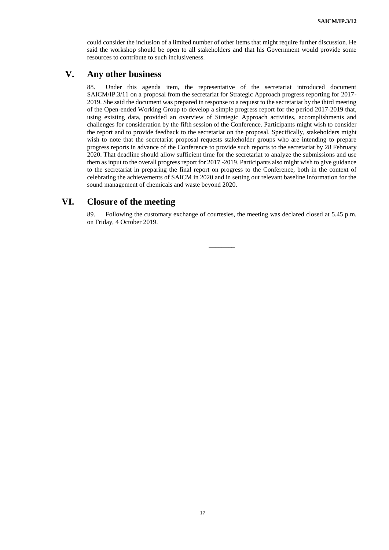could consider the inclusion of a limited number of other items that might require further discussion. He said the workshop should be open to all stakeholders and that his Government would provide some resources to contribute to such inclusiveness.

# **V. Any other business**

88. Under this agenda item, the representative of the secretariat introduced document SAICM/IP.3/11 on a proposal from the secretariat for Strategic Approach progress reporting for 2017- 2019. She said the document was prepared in response to a request to the secretariat by the third meeting of the Open-ended Working Group to develop a simple progress report for the period 2017-2019 that, using existing data, provided an overview of Strategic Approach activities, accomplishments and challenges for consideration by the fifth session of the Conference. Participants might wish to consider the report and to provide feedback to the secretariat on the proposal. Specifically, stakeholders might wish to note that the secretariat proposal requests stakeholder groups who are intending to prepare progress reports in advance of the Conference to provide such reports to the secretariat by 28 February 2020. That deadline should allow sufficient time for the secretariat to analyze the submissions and use them as input to the overall progress report for 2017 -2019. Participants also might wish to give guidance to the secretariat in preparing the final report on progress to the Conference, both in the context of celebrating the achievements of SAICM in 2020 and in setting out relevant baseline information for the sound management of chemicals and waste beyond 2020.

# **VI. Closure of the meeting**

89. Following the customary exchange of courtesies, the meeting was declared closed at 5.45 p.m. on Friday, 4 October 2019.

 $\overline{\phantom{a}}$ 

17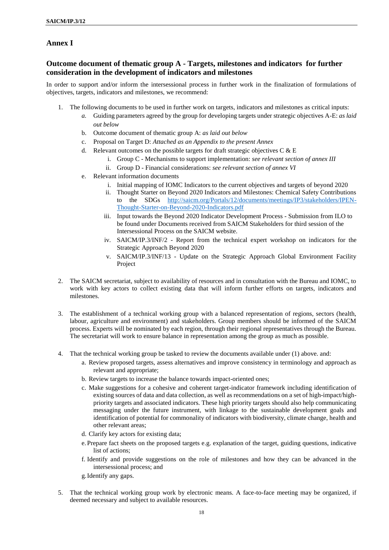# **Annex I**

# **Outcome document of thematic group A - Targets, milestones and indicators for further consideration in the development of indicators and milestones**

In order to support and/or inform the intersessional process in further work in the finalization of formulations of objectives, targets, indicators and milestones, we recommend:

- 1. The following documents to be used in further work on targets, indicators and milestones as critical inputs:
	- *a.* Guiding parameters agreed by the group for developing targets under strategic objectives A-E: *as laid out below*
	- b. Outcome document of thematic group A: *as laid out below*
	- c. Proposal on Target D: *Attached as an Appendix to the present Annex*
	- d. Relevant outcomes on the possible targets for draft strategic objectives  $C & E$ 
		- i. Group C Mechanisms to support implementation: *see relevant section of annex III*
		- ii. Group D Financial considerations: *see relevant section of annex VI*
	- e. Relevant information documents
		- i. Initial mapping of IOMC Indicators to the current objectives and targets of beyond 2020
		- ii. [Thought Starter on Beyond 2020 Indicators and Milestones: Chemical Safety Contributions](http://saicm.org/Portals/12/documents/meetings/IP3/stakeholders/IPEN-Thought-Starter-on-Beyond-2020-Indicators.pdf)  [to the SDGs](http://saicm.org/Portals/12/documents/meetings/IP3/stakeholders/IPEN-Thought-Starter-on-Beyond-2020-Indicators.pdf) [http://saicm.org/Portals/12/documents/meetings/IP3/stakeholders/IPEN-](http://saicm.org/Portals/12/documents/meetings/IP3/stakeholders/IPEN-Thought-Starter-on-Beyond-2020-Indicators.pdf)[Thought-Starter-on-Beyond-2020-Indicators.pdf](http://saicm.org/Portals/12/documents/meetings/IP3/stakeholders/IPEN-Thought-Starter-on-Beyond-2020-Indicators.pdf)
		- iii. Input towards the Beyond 2020 Indicator Development Process Submission from ILO to be found under Documents received from SAICM Stakeholders for third session of the Intersessional Process on the SAICM website.
		- iv. SAICM/IP.3/INF/2 Report from the technical expert workshop on indicators for the Strategic Approach Beyond 2020
		- v. SAICM/IP.3/INF/13 Update on the Strategic Approach Global Environment Facility Project
- 2. The SAICM secretariat, subject to availability of resources and in consultation with the Bureau and IOMC, to work with key actors to collect existing data that will inform further efforts on targets, indicators and milestones.
- 3. The establishment of a technical working group with a balanced representation of regions, sectors (health, labour, agriculture and environment) and stakeholders. Group members should be informed of the SAICM process. Experts will be nominated by each region, through their regional representatives through the Bureau. The secretariat will work to ensure balance in representation among the group as much as possible.
- 4. That the technical working group be tasked to review the documents available under (1) above. and:
	- a. Review proposed targets, assess alternatives and improve consistency in terminology and approach as relevant and appropriate;
	- b. Review targets to increase the balance towards impact-oriented ones;
	- c. Make suggestions for a cohesive and coherent target-indicator framework including identification of existing sources of data and data collection, as well as recommendations on a set of high-impact/highpriority targets and associated indicators. These high priority targets should also help communicating messaging under the future instrument, with linkage to the sustainable development goals and identification of potential for commonality of indicators with biodiversity, climate change, health and other relevant areas;
	- d. Clarify key actors for existing data;
	- e. Prepare fact sheets on the proposed targets e.g. explanation of the target, guiding questions, indicative list of actions;
	- f. Identify and provide suggestions on the role of milestones and how they can be advanced in the intersessional process; and
	- g.Identify any gaps.
- 5. That the technical working group work by electronic means. A face-to-face meeting may be organized, if deemed necessary and subject to available resources.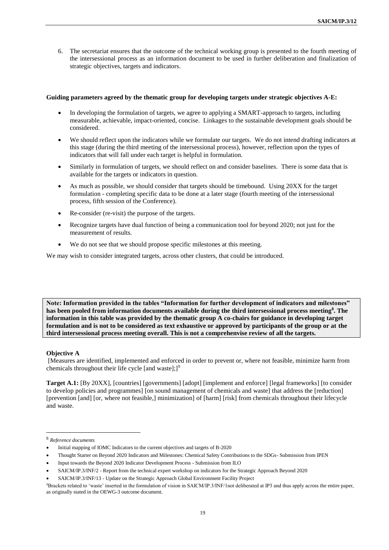6. The secretariat ensures that the outcome of the technical working group is presented to the fourth meeting of the intersessional process as an information document to be used in further deliberation and finalization of strategic objectives, targets and indicators.

#### **Guiding parameters agreed by the thematic group for developing targets under strategic objectives A-E:**

- In developing the formulation of targets, we agree to applying a SMART-approach to targets, including measurable, achievable, impact-oriented, concise. Linkages to the sustainable development goals should be considered.
- We should reflect upon the indicators while we formulate our targets. We do not intend drafting indicators at this stage (during the third meeting of the intersessional process), however, reflection upon the types of indicators that will fall under each target is helpful in formulation.
- Similarly in formulation of targets, we should reflect on and consider baselines. There is some data that is available for the targets or indicators in question.
- As much as possible, we should consider that targets should be timebound. Using 20XX for the target formulation - completing specific data to be done at a later stage (fourth meeting of the intersessional process, fifth session of the Conference).
- Re-consider (re-visit) the purpose of the targets.
- Recognize targets have dual function of being a communication tool for beyond 2020; not just for the measurement of results.
- We do not see that we should propose specific milestones at this meeting.

We may wish to consider integrated targets, across other clusters, that could be introduced.

**Note: Information provided in the tables "Information for further development of indicators and milestones" has been pooled from information documents available during the third intersessional process meeting<sup>8</sup> . The information in this table was provided by the thematic group A co-chairs for guidance in developing target formulation and is not to be considered as text exhaustive or approved by participants of the group or at the third intersessional process meeting overall. This is not a comprehenvise review of all the targets.** 

#### **Objective A**

[Measures are identified, implemented and enforced in order to prevent or, where not feasible, minimize harm from chemicals throughout their life cycle [and waste];]<sup>9</sup>

**Target A.1:** [By 20XX], [countries] [governments] [adopt] [implement and enforce] [legal frameworks] [to consider to develop policies and programmes] [on sound management of chemicals and waste] that address the [reduction] [prevention [and] [or, where not feasible,] minimization] of [harm] [risk] from chemicals throughout their lifecycle and waste.

 $\overline{a}$ 

<sup>8</sup> *Reference documents* 

<sup>•</sup> Initial mapping of IOMC Indicators to the current objectives and targets of B-2020

<sup>•</sup> [Thought Starter on Beyond 2020 Indicators and Milestones: Chemical Safety Contributions to the SDGs-](http://saicm.org/Portals/12/documents/meetings/IP3/stakeholders/IPEN-Thought-Starter-on-Beyond-2020-Indicators.pdf) Submission from IPEN

<sup>•</sup> [Input towards the Beyond 2020 Indicator Development Process](http://saicm.org/Portals/12/documents/meetings/IP3/stakeholders/ILO_InputBeyond2020IndicatorDevelopment_r1.pdf) - Submission from ILO

<sup>•</sup> SAICM/IP.3/INF/2 - Report from the technical expert workshop on indicators for the Strategic Approach Beyond 2020

<sup>•</sup> SAICM/IP.3/INF/13 - Update on the Strategic Approach Global Environment Facility Project

<sup>9</sup>Brackets related to 'waste' inserted in the formulation of vision in SAICM/IP.3/INF/1not deliberated at IP3 and thus apply across the entire paper, as originally stated in the OEWG-3 outcome document.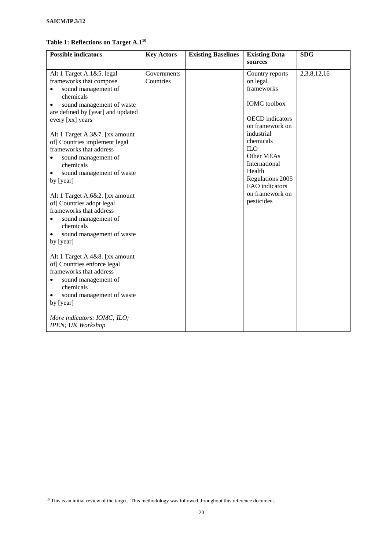$\overline{a}$ 

## **Table 1: Reflections on Target A.1 10**

| <b>Possible indicators</b>                                                                                                                                                                                                                                                                                                                                                                                                                                                                                                                                                                                                                                                                                                                                                                           | <b>Key Actors</b>        | <b>Existing Baselines</b> | <b>Existing Data</b>                                                                                                                                                                                                                                                   | <b>SDG</b>  |
|------------------------------------------------------------------------------------------------------------------------------------------------------------------------------------------------------------------------------------------------------------------------------------------------------------------------------------------------------------------------------------------------------------------------------------------------------------------------------------------------------------------------------------------------------------------------------------------------------------------------------------------------------------------------------------------------------------------------------------------------------------------------------------------------------|--------------------------|---------------------------|------------------------------------------------------------------------------------------------------------------------------------------------------------------------------------------------------------------------------------------------------------------------|-------------|
|                                                                                                                                                                                                                                                                                                                                                                                                                                                                                                                                                                                                                                                                                                                                                                                                      |                          |                           | sources                                                                                                                                                                                                                                                                |             |
| Alt 1 Target A.1&5. legal<br>frameworks that compose<br>sound management of<br>$\bullet$<br>chemicals<br>sound management of waste<br>are defined by [year] and updated<br>every [xx] years<br>Alt 1 Target A.3&7. [xx amount<br>of] Countries implement legal<br>frameworks that address<br>sound management of<br>$\bullet$<br>chemicals<br>sound management of waste<br>$\bullet$<br>by [year]<br>Alt 1 Target A.6&2. [xx amount<br>of] Countries adopt legal<br>frameworks that address<br>sound management of<br>٠<br>chemicals<br>sound management of waste<br>by [year]<br>Alt 1 Target A.4&8. [xx amount<br>of] Countries enforce legal<br>frameworks that address<br>sound management of<br>chemicals<br>sound management of waste<br>$\bullet$<br>by [year]<br>More indicators: IOMC; ILO; | Governments<br>Countries |                           | Country reports<br>on legal<br>frameworks<br><b>IOMC</b> toolbox<br><b>OECD</b> indicators<br>on framework on<br>industrial<br>chemicals<br><b>ILO</b><br>Other MEAs<br>International<br>Health<br>Regulations 2005<br>FAO indicators<br>on framework on<br>pesticides | 2,3,8,12,16 |
| IPEN; UK Workshop                                                                                                                                                                                                                                                                                                                                                                                                                                                                                                                                                                                                                                                                                                                                                                                    |                          |                           |                                                                                                                                                                                                                                                                        |             |

<sup>&</sup>lt;sup>10</sup> This is an initial review of the target. This methodology was followed throughout this reference document.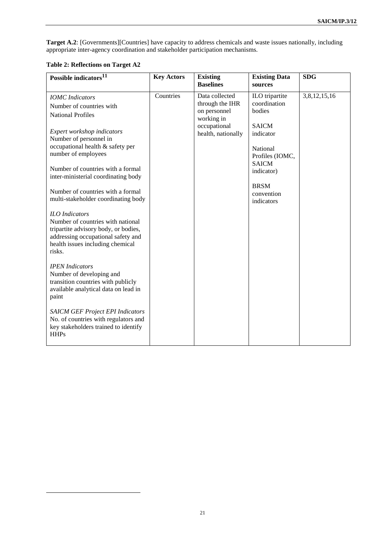**Target A.2**: [Governments][Countries] have capacity to address chemicals and waste issues nationally, including appropriate inter-agency coordination and stakeholder participation mechanisms.

## **Table 2: Reflections on Target A2**

 $\overline{a}$ 

| Possible indicators <sup>11</sup>                                                                                                                                                                                                                                                                                                                                                                                      | <b>Key Actors</b> | <b>Existing</b>            | <b>Existing Data</b> | <b>SDG</b>   |
|------------------------------------------------------------------------------------------------------------------------------------------------------------------------------------------------------------------------------------------------------------------------------------------------------------------------------------------------------------------------------------------------------------------------|-------------------|----------------------------|----------------------|--------------|
|                                                                                                                                                                                                                                                                                                                                                                                                                        |                   | <b>Baselines</b>           | sources              |              |
| <b>IOMC</b> Indicators                                                                                                                                                                                                                                                                                                                                                                                                 | Countries         | Data collected             | ILO tripartite       | 3,8,12,15,16 |
| Number of countries with                                                                                                                                                                                                                                                                                                                                                                                               |                   | through the IHR            | coordination         |              |
| <b>National Profiles</b>                                                                                                                                                                                                                                                                                                                                                                                               |                   | on personnel               | bodies               |              |
|                                                                                                                                                                                                                                                                                                                                                                                                                        |                   | working in<br>occupational | <b>SAICM</b>         |              |
| Expert workshop indicators                                                                                                                                                                                                                                                                                                                                                                                             |                   | health, nationally         | indicator            |              |
| Number of personnel in                                                                                                                                                                                                                                                                                                                                                                                                 |                   |                            |                      |              |
| occupational health & safety per                                                                                                                                                                                                                                                                                                                                                                                       |                   |                            | National             |              |
| number of employees                                                                                                                                                                                                                                                                                                                                                                                                    |                   |                            | Profiles (IOMC,      |              |
| Number of countries with a formal                                                                                                                                                                                                                                                                                                                                                                                      |                   |                            | <b>SAICM</b>         |              |
| inter-ministerial coordinating body                                                                                                                                                                                                                                                                                                                                                                                    |                   |                            | indicator)           |              |
|                                                                                                                                                                                                                                                                                                                                                                                                                        |                   |                            | <b>BRSM</b>          |              |
| Number of countries with a formal                                                                                                                                                                                                                                                                                                                                                                                      |                   |                            | convention           |              |
| multi-stakeholder coordinating body                                                                                                                                                                                                                                                                                                                                                                                    |                   |                            | indicators           |              |
| <b>ILO</b> Indicators<br>Number of countries with national<br>tripartite advisory body, or bodies,<br>addressing occupational safety and<br>health issues including chemical<br>risks.<br><b>IPEN</b> Indicators<br>Number of developing and<br>transition countries with publicly<br>available analytical data on lead in<br>paint<br><b>SAICM GEF Project EPI Indicators</b><br>No. of countries with regulators and |                   |                            |                      |              |
| key stakeholders trained to identify<br><b>HHPs</b>                                                                                                                                                                                                                                                                                                                                                                    |                   |                            |                      |              |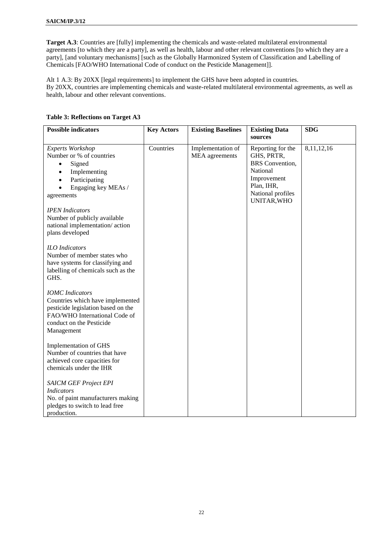**Target A.3**: Countries are [fully] implementing the chemicals and waste-related multilateral environmental agreements [to which they are a party], as well as health, labour and other relevant conventions [to which they are a party], [and voluntary mechanisms] [such as the Globally Harmonized System of Classification and Labelling of Chemicals [FAO/WHO International Code of conduct on the Pesticide Management]].

Alt 1 A.3: By 20XX [legal requirements] to implement the GHS have been adopted in countries. By 20XX, countries are implementing chemicals and waste-related multilateral environmental agreements, as well as health, labour and other relevant conventions.

| <b>Possible indicators</b>                                                                                                                                                                    | <b>Key Actors</b> | <b>Existing Baselines</b>           | <b>Existing Data</b><br>sources                                                                                                        | <b>SDG</b> |
|-----------------------------------------------------------------------------------------------------------------------------------------------------------------------------------------------|-------------------|-------------------------------------|----------------------------------------------------------------------------------------------------------------------------------------|------------|
| Experts Workshop<br>Number or % of countries<br>Signed<br>$\bullet$<br>Implementing<br>$\bullet$<br>Participating<br>$\bullet$<br>Engaging key MEAs /<br>agreements<br><b>IPEN</b> Indicators | Countries         | Implementation of<br>MEA agreements | Reporting for the<br>GHS, PRTR,<br><b>BRS</b> Convention,<br>National<br>Improvement<br>Plan, IHR,<br>National profiles<br>UNITAR, WHO | 8,11,12,16 |
| Number of publicly available<br>national implementation/action<br>plans developed                                                                                                             |                   |                                     |                                                                                                                                        |            |
| <b>ILO</b> Indicators<br>Number of member states who<br>have systems for classifying and<br>labelling of chemicals such as the<br>GHS.                                                        |                   |                                     |                                                                                                                                        |            |
| <b>IOMC</b> Indicators<br>Countries which have implemented<br>pesticide legislation based on the<br>FAO/WHO International Code of<br>conduct on the Pesticide<br>Management                   |                   |                                     |                                                                                                                                        |            |
| Implementation of GHS<br>Number of countries that have<br>achieved core capacities for<br>chemicals under the IHR                                                                             |                   |                                     |                                                                                                                                        |            |
| <b>SAICM GEF Project EPI</b><br><b>Indicators</b><br>No. of paint manufacturers making<br>pledges to switch to lead free<br>production.                                                       |                   |                                     |                                                                                                                                        |            |

## **Table 3: Reflections on Target A3**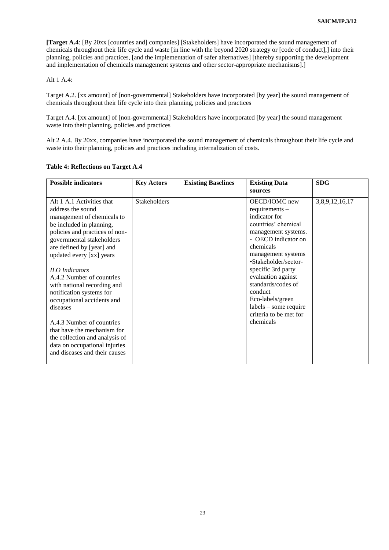**[Target A.4**: [By 20xx [countries and] companies] [Stakeholders] have incorporated the sound management of chemicals throughout their life cycle and waste [in line with the beyond 2020 strategy or [code of conduct],] into their planning, policies and practices, [and the implementation of safer alternatives] [thereby supporting the development and implementation of chemicals management systems and other sector-appropriate mechanisms].]

### Alt 1 A.4:

Target A.2. [xx amount] of [non-governmental] Stakeholders have incorporated [by year] the sound management of chemicals throughout their life cycle into their planning, policies and practices

Target A.4. [xx amount] of [non-governmental] Stakeholders have incorporated [by year] the sound management waste into their planning, policies and practices

Alt 2 A.4. By 20xx, companies have incorporated the sound management of chemicals throughout their life cycle and waste into their planning, policies and practices including internalization of costs.

| <b>Possible indicators</b>     | <b>Key Actors</b> | <b>Existing Baselines</b> | <b>Existing Data</b>    | <b>SDG</b>     |
|--------------------------------|-------------------|---------------------------|-------------------------|----------------|
|                                |                   |                           | sources                 |                |
| Alt 1 A.1 Activities that      | Stakeholders      |                           | OECD/IOMC new           | 3,8,9,12,16,17 |
| address the sound              |                   |                           | requirements $-$        |                |
| management of chemicals to     |                   |                           | indicator for           |                |
| be included in planning,       |                   |                           | countries' chemical     |                |
| policies and practices of non- |                   |                           | management systems.     |                |
| governmental stakeholders      |                   |                           | - OECD indicator on     |                |
| are defined by [year] and      |                   |                           | chemicals               |                |
| updated every [xx] years       |                   |                           | management systems      |                |
|                                |                   |                           | •Stakeholder/sector-    |                |
| <b>ILO</b> Indicators          |                   |                           | specific 3rd party      |                |
| A.4.2 Number of countries      |                   |                           | evaluation against      |                |
| with national recording and    |                   |                           | standards/codes of      |                |
| notification systems for       |                   |                           | conduct                 |                |
| occupational accidents and     |                   |                           | Eco-labels/green        |                |
| diseases                       |                   |                           | $labels - some require$ |                |
|                                |                   |                           | criteria to be met for  |                |
| A.4.3 Number of countries      |                   |                           | chemicals               |                |
| that have the mechanism for    |                   |                           |                         |                |
| the collection and analysis of |                   |                           |                         |                |
| data on occupational injuries  |                   |                           |                         |                |
| and diseases and their causes  |                   |                           |                         |                |
|                                |                   |                           |                         |                |

#### **Table 4: Reflections on Target A.4**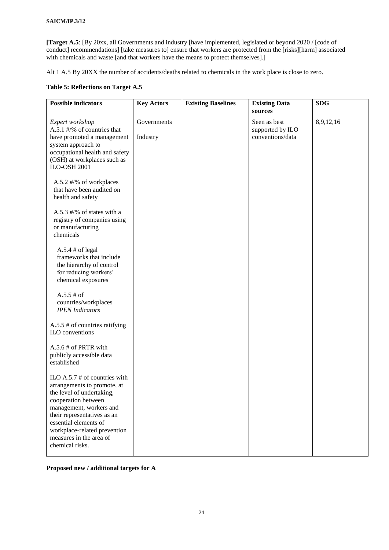**[Target A.5**: [By 20xx, all Governments and industry [have implemented, legislated or beyond 2020 / [code of conduct] recommendations] [take measures to] ensure that workers are protected from the [risks][harm] associated with chemicals and waste [and that workers have the means to protect themselves].]

Alt 1 A.5 By 20XX the number of accidents/deaths related to chemicals in the work place is close to zero.

## **Table 5: Reflections on Target A.5**

| <b>Possible indicators</b>                                                                                                                                                                                                                                                          | <b>Key Actors</b>       | <b>Existing Baselines</b> | <b>Existing Data</b><br>sources                      | <b>SDG</b> |
|-------------------------------------------------------------------------------------------------------------------------------------------------------------------------------------------------------------------------------------------------------------------------------------|-------------------------|---------------------------|------------------------------------------------------|------------|
| Expert workshop<br>A.5.1 #/% of countries that<br>have promoted a management<br>system approach to<br>occupational health and safety<br>(OSH) at workplaces such as<br><b>ILO-OSH 2001</b>                                                                                          | Governments<br>Industry |                           | Seen as best<br>supported by ILO<br>conventions/data | 8,9,12,16  |
| A.5.2 #/% of workplaces<br>that have been audited on<br>health and safety                                                                                                                                                                                                           |                         |                           |                                                      |            |
| A.5.3 $\#$ /% of states with a<br>registry of companies using<br>or manufacturing<br>chemicals                                                                                                                                                                                      |                         |                           |                                                      |            |
| $A.5.4 \# of legal$<br>frameworks that include<br>the hierarchy of control<br>for reducing workers'<br>chemical exposures                                                                                                                                                           |                         |                           |                                                      |            |
| $A.5.5 \# of$<br>countries/workplaces<br><b>IPEN</b> Indicators                                                                                                                                                                                                                     |                         |                           |                                                      |            |
| A.5.5 $#$ of countries ratifying<br>ILO conventions                                                                                                                                                                                                                                 |                         |                           |                                                      |            |
| A.5.6 # of PRTR with<br>publicly accessible data<br>established                                                                                                                                                                                                                     |                         |                           |                                                      |            |
| ILO A.5.7 $#$ of countries with<br>arrangements to promote, at<br>the level of undertaking,<br>cooperation between<br>management, workers and<br>their representatives as an<br>essential elements of<br>workplace-related prevention<br>measures in the area of<br>chemical risks. |                         |                           |                                                      |            |

**Proposed new / additional targets for A**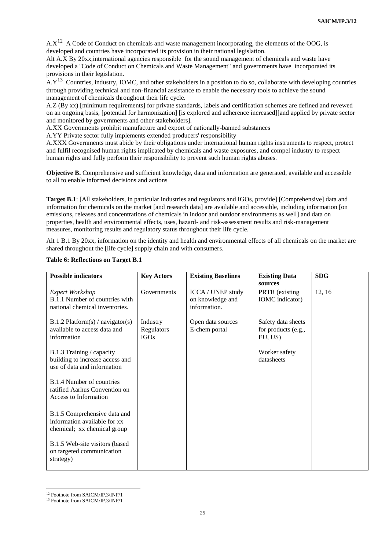$A.X^{12}$  A Code of Conduct on chemicals and waste management incorporating, the elements of the OOG, is developed and countries have incorporated its provision in their national legislation.

Alt A.X By 20xx,international agencies responsible for the sound management of chemicals and waste have developed a ''Code of Conduct on Chemicals and Waste Management" and governments have incorporated its provisions in their legislation.

 $A.Y<sup>13</sup>$  Countries, industry, IOMC, and other stakeholders in a position to do so, collaborate with developing countries through providing technical and non-financial assistance to enable the necessary tools to achieve the sound management of chemicals throughout their life cycle.

A.Z (By xx) [minimum requirements] for private standards, labels and certification schemes are defined and revewed on an ongoing basis, [potential for harmonization] [is explored and adherence increased][and applied by private sector and monitored by governments and other stakeholders].

A.XX Governments prohibit manufacture and export of nationally-banned substances

A.YY Private sector fully implements extended producers' responsibility

A.XXX Governments must abide by their obligations under international human rights instruments to respect, protect and fulfil recognised human rights implicated by chemicals and waste exposures, and compel industry to respect human rights and fully perform their responsibility to prevent such human rights abuses.

**Objective B.** Comprehensive and sufficient knowledge, data and information are generated, available and accessible to all to enable informed decisions and actions

**Target B.1**: [All stakeholders, in particular industries and regulators and IGOs, provide] [Comprehensive] data and information for chemicals on the market [and research data] are available and accessible, including information [on emissions, releases and concentrations of chemicals in indoor and outdoor environments as well] and data on properties, health and environmental effects, uses, hazard- and risk-assessment results and risk-management measures, monitoring results and regulatory status throughout their life cycle.

Alt 1 B.1 By 20xx, information on the identity and health and environmental effects of all chemicals on the market are shared throughout the [life cycle] supply chain and with consumers.

| <b>Possible indicators</b>                                                                  | <b>Key Actors</b>                     | <b>Existing Baselines</b>                             | <b>Existing Data</b>                                 | <b>SDG</b> |
|---------------------------------------------------------------------------------------------|---------------------------------------|-------------------------------------------------------|------------------------------------------------------|------------|
|                                                                                             |                                       |                                                       | sources                                              |            |
| <b>Expert Workshop</b><br>B.1.1 Number of countries with<br>national chemical inventories.  | Governments                           | ICCA / UNEP study<br>on knowledge and<br>information. | PRTR (existing<br><b>IOMC</b> indicator)             | 12, 16     |
| $B.1.2$ Platform(s) / navigator(s)<br>available to access data and<br>information           | Industry<br>Regulators<br><b>IGOs</b> | Open data sources<br>E-chem portal                    | Safety data sheets<br>for products (e.g.,<br>EU, US) |            |
| B.1.3 Training / capacity<br>building to increase access and<br>use of data and information |                                       |                                                       | Worker safety<br>datasheets                          |            |
| B.1.4 Number of countries<br>ratified Aarhus Convention on<br>Access to Information         |                                       |                                                       |                                                      |            |
| B.1.5 Comprehensive data and<br>information available for xx<br>chemical; xx chemical group |                                       |                                                       |                                                      |            |
| B.1.5 Web-site visitors (based<br>on targeted communication<br>strategy)                    |                                       |                                                       |                                                      |            |

#### **Table 6: Reflections on Target B.1**

 $\overline{a}$ 

<sup>12</sup> Footnote from SAICM/IP.3/INF/1

<sup>&</sup>lt;sup>13</sup> Footnote from SAICM/IP.3/INF/1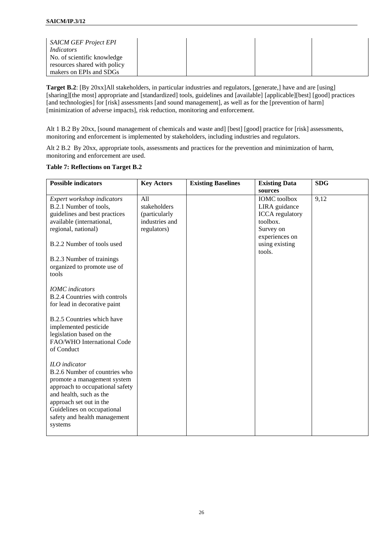| <b>SAICM GEF Project EPI</b><br>Indicators<br>No. of scientific knowledge |  |  |
|---------------------------------------------------------------------------|--|--|
| resources shared with policy                                              |  |  |
| makers on EPIs and SDGs                                                   |  |  |

**Target B.2**: [By 20xx]All stakeholders, in particular industries and regulators, [generate,] have and are [using] [sharing][the most] appropriate and [standardized] tools, guidelines and [available] [applicable][best] [good] practices [and technologies] for [risk] assessments [and sound management], as well as for the [prevention of harm] [minimization of adverse impacts], risk reduction, monitoring and enforcement.

Alt 1 B.2 By 20xx, [sound management of chemicals and waste and] [best] [good] practice for [risk] assessments, monitoring and enforcement is implemented by stakeholders, including industries and regulators.

Alt 2 B.2 By 20xx, appropriate tools, assessments and practices for the prevention and minimization of harm, monitoring and enforcement are used.

#### **Table 7: Reflections on Target B.2**

| <b>Possible indicators</b>                                                                                                                                                                                                                      | <b>Key Actors</b>                                                     | <b>Existing Baselines</b> | <b>Existing Data</b>                                                                                                                             | <b>SDG</b> |
|-------------------------------------------------------------------------------------------------------------------------------------------------------------------------------------------------------------------------------------------------|-----------------------------------------------------------------------|---------------------------|--------------------------------------------------------------------------------------------------------------------------------------------------|------------|
| Expert workshop indicators<br>B.2.1 Number of tools,<br>guidelines and best practices<br>available (international,<br>regional, national)<br>B.2.2 Number of tools used<br>B.2.3 Number of trainings<br>organized to promote use of<br>tools    | All<br>stakeholders<br>(particularly<br>industries and<br>regulators) |                           | sources<br><b>IOMC</b> toolbox<br>LIRA guidance<br><b>ICCA</b> regulatory<br>toolbox.<br>Survey on<br>experiences on<br>using existing<br>tools. | 9,12       |
| <b>IOMC</b> indicators<br><b>B.2.4 Countries with controls</b><br>for lead in decorative paint                                                                                                                                                  |                                                                       |                           |                                                                                                                                                  |            |
| B.2.5 Countries which have<br>implemented pesticide<br>legislation based on the<br>FAO/WHO International Code<br>of Conduct                                                                                                                     |                                                                       |                           |                                                                                                                                                  |            |
| ILO indicator<br>B.2.6 Number of countries who<br>promote a management system<br>approach to occupational safety<br>and health, such as the<br>approach set out in the<br>Guidelines on occupational<br>safety and health management<br>systems |                                                                       |                           |                                                                                                                                                  |            |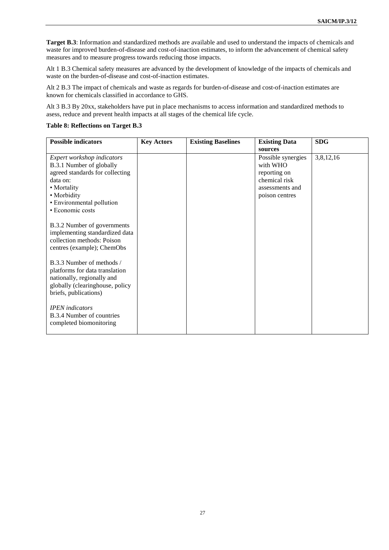**Target B.3**: Information and standardized methods are available and used to understand the impacts of chemicals and waste for improved burden-of-disease and cost-of-inaction estimates, to inform the advancement of chemical safety measures and to measure progress towards reducing those impacts.

Alt 1 B.3 Chemical safety measures are advanced by the development of knowledge of the impacts of chemicals and waste on the burden-of-disease and cost-of-inaction estimates.

Alt 2 B.3 The impact of chemicals and waste as regards for burden-of-disease and cost-of-inaction estimates are known for chemicals classified in accordance to GHS.

Alt 3 B.3 By 20xx, stakeholders have put in place mechanisms to access information and standardized methods to asess, reduce and prevent health impacts at all stages of the chemical life cycle.

**Table 8: Reflections on Target B.3**

| <b>Possible indicators</b>      | <b>Key Actors</b> | <b>Existing Baselines</b> | <b>Existing Data</b> | <b>SDG</b> |
|---------------------------------|-------------------|---------------------------|----------------------|------------|
|                                 |                   |                           | sources              |            |
| Expert workshop indicators      |                   |                           | Possible synergies   | 3,8,12,16  |
| B.3.1 Number of globally        |                   |                           | with WHO             |            |
| agreed standards for collecting |                   |                           | reporting on         |            |
| data on:                        |                   |                           | chemical risk        |            |
| • Mortality                     |                   |                           | assessments and      |            |
| • Morbidity                     |                   |                           | poison centres       |            |
| • Environmental pollution       |                   |                           |                      |            |
|                                 |                   |                           |                      |            |
| • Economic costs                |                   |                           |                      |            |
|                                 |                   |                           |                      |            |
| B.3.2 Number of governments     |                   |                           |                      |            |
| implementing standardized data  |                   |                           |                      |            |
| collection methods: Poison      |                   |                           |                      |            |
| centres (example); ChemObs      |                   |                           |                      |            |
|                                 |                   |                           |                      |            |
| B.3.3 Number of methods /       |                   |                           |                      |            |
| platforms for data translation  |                   |                           |                      |            |
| nationally, regionally and      |                   |                           |                      |            |
| globally (clearinghouse, policy |                   |                           |                      |            |
| briefs, publications)           |                   |                           |                      |            |
|                                 |                   |                           |                      |            |
| <b>IPEN</b> indicators          |                   |                           |                      |            |
| B.3.4 Number of countries       |                   |                           |                      |            |
|                                 |                   |                           |                      |            |
| completed biomonitoring         |                   |                           |                      |            |
|                                 |                   |                           |                      |            |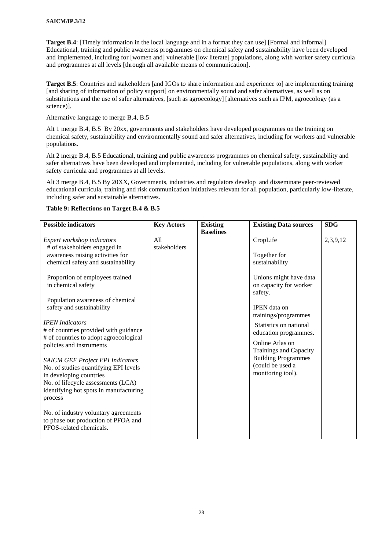**Target B.4**: [Timely information in the local language and in a format they can use] [Formal and informal] Educational, training and public awareness programmes on chemical safety and sustainability have been developed and implemented, including for [women and] vulnerable [low literate] populations, along with worker safety curricula and programmes at all levels [through all available means of communication].

**Target B.5**: Countries and stakeholders [and IGOs to share information and experience to] are implementing training [and sharing of information of policy support] on environmentally sound and safer alternatives, as well as on substitutions and the use of safer alternatives, [such as agroecology] [alternatives such as IPM, agroecology (as a science)].

Alternative language to merge B.4, B.5

Alt 1 merge B.4, B.5 By 20xx, governments and stakeholders have developed programmes on the training on chemical safety, sustainability and environmentally sound and safer alternatives, including for workers and vulnerable populations.

Alt 2 merge B.4, B.5 Educational, training and public awareness programmes on chemical safety, sustainability and safer alternatives have been developed and implemented, including for vulnerable populations, along with worker safety curricula and programmes at all levels.

Alt 3 merge B.4, B.5 By 20XX, Governments, industries and regulators develop and disseminate peer-reviewed educational curricula, training and risk communication initiatives relevant for all population, particularly low-literate, including safer and sustainable alternatives.

| <b>Possible indicators</b>                                                                             | <b>Key Actors</b>   | <b>Existing</b>  | <b>Existing Data sources</b>                                | <b>SDG</b> |
|--------------------------------------------------------------------------------------------------------|---------------------|------------------|-------------------------------------------------------------|------------|
|                                                                                                        |                     | <b>Baselines</b> |                                                             |            |
| Expert workshop indicators<br># of stakeholders engaged in                                             | A11<br>stakeholders |                  | CropLife                                                    | 2,3,9,12   |
| awareness raising activities for<br>chemical safety and sustainability                                 |                     |                  | Together for<br>sustainability                              |            |
| Proportion of employees trained<br>in chemical safety                                                  |                     |                  | Unions might have data<br>on capacity for worker<br>safety. |            |
| Population awareness of chemical                                                                       |                     |                  |                                                             |            |
| safety and sustainability                                                                              |                     |                  | <b>IPEN</b> data on<br>trainings/programmes                 |            |
| <b>IPEN</b> Indicators<br># of countries provided with guidance                                        |                     |                  | Statistics on national<br>education programmes.             |            |
| # of countries to adopt agroecological<br>policies and instruments                                     |                     |                  | Online Atlas on<br>Trainings and Capacity                   |            |
| <b>SAICM GEF Project EPI Indicators</b><br>No. of studies quantifying EPI levels                       |                     |                  | <b>Building Programmes</b><br>(could be used a              |            |
| in developing countries                                                                                |                     |                  | monitoring tool).                                           |            |
| No. of lifecycle assessments (LCA)                                                                     |                     |                  |                                                             |            |
| identifying hot spots in manufacturing<br>process                                                      |                     |                  |                                                             |            |
| No. of industry voluntary agreements<br>to phase out production of PFOA and<br>PFOS-related chemicals. |                     |                  |                                                             |            |

#### **Table 9: Reflections on Target B.4 & B.5**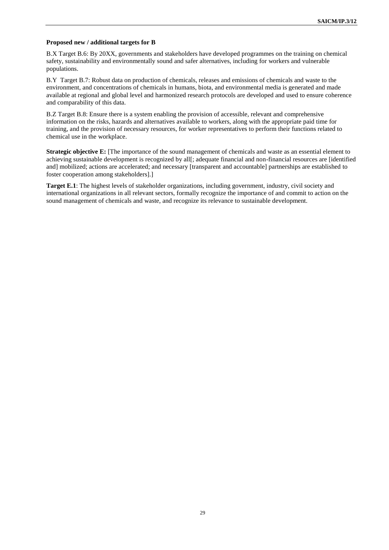#### **Proposed new / additional targets for B**

B.X Target B.6: By 20XX, governments and stakeholders have developed programmes on the training on chemical safety, sustainability and environmentally sound and safer alternatives, including for workers and vulnerable populations.

B.Y Target B.7: Robust data on production of chemicals, releases and emissions of chemicals and waste to the environment, and concentrations of chemicals in humans, biota, and environmental media is generated and made available at regional and global level and harmonized research protocols are developed and used to ensure coherence and comparability of this data.

B.Z Target B.8: Ensure there is a system enabling the provision of accessible, relevant and comprehensive information on the risks, hazards and alternatives available to workers, along with the appropriate paid time for training, and the provision of necessary resources, for worker representatives to perform their functions related to chemical use in the workplace.

**Strategic objective E:** [The importance of the sound management of chemicals and waste as an essential element to achieving sustainable development is recognized by all[; adequate financial and non-financial resources are [identified] and] mobilized; actions are accelerated; and necessary [transparent and accountable] partnerships are established to foster cooperation among stakeholders].]

**Target E.1**: The highest levels of stakeholder organizations, including government, industry, civil society and international organizations in all relevant sectors, formally recognize the importance of and commit to action on the sound management of chemicals and waste, and recognize its relevance to sustainable development.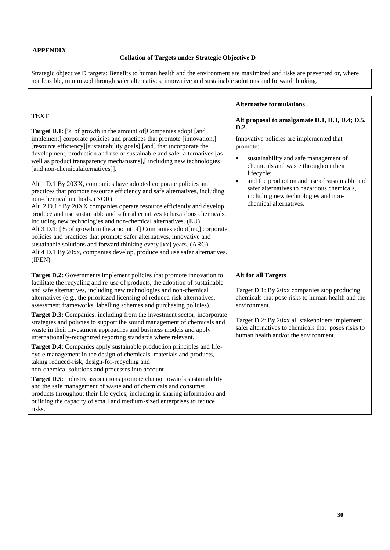## **Collation of Targets under Strategic Objective D**

Strategic objective D targets: Benefits to human health and the environment are maximized and risks are prevented or, where not feasible, minimized through safer alternatives, innovative and sustainable solutions and forward thinking.

|                                                                                                                                                                                                                                                                                                                                                                                                                                                                                                                                                                                                                                                                                                                                                                                                                                                                                                                                                                                                                                                                                                                                                      | <b>Alternative formulations</b>                                                                                                                                                                                                                                                                                                                       |
|------------------------------------------------------------------------------------------------------------------------------------------------------------------------------------------------------------------------------------------------------------------------------------------------------------------------------------------------------------------------------------------------------------------------------------------------------------------------------------------------------------------------------------------------------------------------------------------------------------------------------------------------------------------------------------------------------------------------------------------------------------------------------------------------------------------------------------------------------------------------------------------------------------------------------------------------------------------------------------------------------------------------------------------------------------------------------------------------------------------------------------------------------|-------------------------------------------------------------------------------------------------------------------------------------------------------------------------------------------------------------------------------------------------------------------------------------------------------------------------------------------------------|
|                                                                                                                                                                                                                                                                                                                                                                                                                                                                                                                                                                                                                                                                                                                                                                                                                                                                                                                                                                                                                                                                                                                                                      |                                                                                                                                                                                                                                                                                                                                                       |
| <b>TEXT</b>                                                                                                                                                                                                                                                                                                                                                                                                                                                                                                                                                                                                                                                                                                                                                                                                                                                                                                                                                                                                                                                                                                                                          | Alt proposal to amalgamate D.1, D.3, D.4; D.5.                                                                                                                                                                                                                                                                                                        |
| <b>Target D.1</b> : [% of growth in the amount of] Companies adopt [and<br>implement] corporate policies and practices that promote [innovation,]<br>[resource efficiency][sustainability goals] [and] that incorporate the<br>development, production and use of sustainable and safer alternatives [as<br>well as product transparency mechanisms],[including new technologies<br>[and non-chemicalalternatives]].<br>Alt 1 D.1 By 20XX, companies have adopted corporate policies and<br>practices that promote resource efficiency and safe alternatives, including<br>non-chemical methods. (NOR)<br>Alt 2 D.1 : By 20XX companies operate resource efficiently and develop,<br>produce and use sustainable and safer alternatives to hazardous chemicals,<br>including new technologies and non-chemical alternatives. (EU)<br>Alt 3 D.1: [% of growth in the amount of] Companies adopt[ing] corporate<br>policies and practices that promote safer alternatives, innovative and<br>sustainable solutions and forward thinking every [xx] years. (ARG)<br>Alt 4 D.1 By 20xx, companies develop, produce and use safer alternatives.<br>(IPEN) | D.2.<br>Innovative policies are implemented that<br>promote:<br>sustainability and safe management of<br>$\bullet$<br>chemicals and waste throughout their<br>lifecycle:<br>and the production and use of sustainable and<br>$\bullet$<br>safer alternatives to hazardous chemicals,<br>including new technologies and non-<br>chemical alternatives. |
| Target D.2: Governments implement policies that promote innovation to<br>facilitate the recycling and re-use of products, the adoption of sustainable<br>and safe alternatives, including new technologies and non-chemical<br>alternatives (e.g., the prioritized licensing of reduced-risk alternatives,<br>assessment frameworks, labelling schemes and purchasing policies).<br>Target D.3: Companies, including from the investment sector, incorporate<br>strategies and policies to support the sound management of chemicals and<br>waste in their investment approaches and business models and apply<br>internationally-recognized reporting standards where relevant.                                                                                                                                                                                                                                                                                                                                                                                                                                                                     | <b>Alt for all Targets</b><br>Target D.1: By 20xx companies stop producing<br>chemicals that pose risks to human health and the<br>environment.<br>Target D.2: By 20xx all stakeholders implement<br>safer alternatives to chemicals that poses risks to<br>human health and/or the environment.                                                      |
| Target D.4: Companies apply sustainable production principles and life-<br>cycle management in the design of chemicals, materials and products,<br>taking reduced-risk, design-for-recycling and<br>non-chemical solutions and processes into account.<br>Target D.5: Industry associations promote change towards sustainability<br>and the safe management of waste and of chemicals and consumer<br>products throughout their life cycles, including in sharing information and<br>building the capacity of small and medium-sized enterprises to reduce<br>risks.                                                                                                                                                                                                                                                                                                                                                                                                                                                                                                                                                                                |                                                                                                                                                                                                                                                                                                                                                       |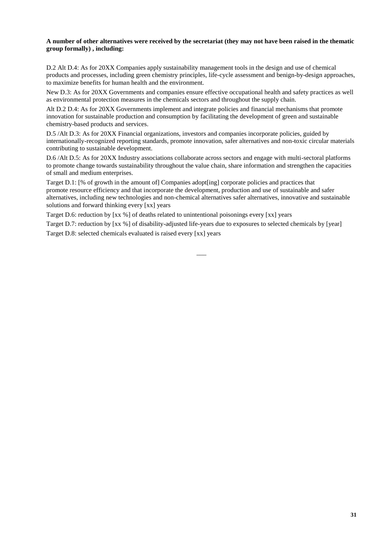## **A number of other alternatives were received by the secretariat (they may not have been raised in the thematic group formally) , including:**

D.2 Alt D.4: As for 20XX Companies apply sustainability management tools in the design and use of chemical products and processes, including green chemistry principles, life-cycle assessment and benign-by-design approaches, to maximize benefits for human health and the environment.

New D.3: As for 20XX Governments and companies ensure effective occupational health and safety practices as well as environmental protection measures in the chemicals sectors and throughout the supply chain.

Alt D.2 D.4: As for 20XX Governments implement and integrate policies and financial mechanisms that promote innovation for sustainable production and consumption by facilitating the development of green and sustainable chemistry-based products and services.

D.5 /Alt D.3: As for 20XX Financial organizations, investors and companies incorporate policies, guided by internationally-recognized reporting standards, promote innovation, safer alternatives and non-toxic circular materials contributing to sustainable development.

D.6 /Alt D.5: As for 20XX Industry associations collaborate across sectors and engage with multi-sectoral platforms to promote change towards sustainability throughout the value chain, share information and strengthen the capacities of small and medium enterprises.

Target D.1: [% of growth in the amount of] Companies adopt[ing] corporate policies and practices that promote resource efficiency and that incorporate the development, production and use of sustainable and safer alternatives, including new technologies and non-chemical alternatives safer alternatives, innovative and sustainable solutions and forward thinking every [xx] years

Target D.6: reduction by [xx %] of deaths related to unintentional poisonings every [xx] years

Target D.7: reduction by [xx %] of disability-adjusted life-years due to exposures to selected chemicals by [year]

Target D.8: selected chemicals evaluated is raised every [xx] years

 $\overline{\phantom{a}}$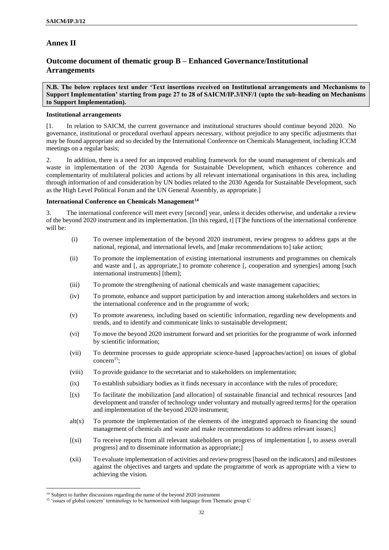# **Annex II**

# **Outcome document of thematic group B – Enhanced Governance/Institutional Arrangements**

**N.B. The below replaces text under 'Text insertions received on Institutional arrangements and Mechanisms to Support Implementation' starting from page 27 to 28 of SAICM/IP.3/INF/1 (upto the sub-heading on Mechanisms to Support Implementation).** 

#### **Institutional arrangements**

[1. In relation to SAICM, the current governance and institutional structures should continue beyond 2020. No governance, institutional or procedural overhaul appears necessary, without prejudice to any specific adjustments that may be found appropriate and so decided by the International Conference on Chemicals Management, including ICCM meetings on a regular basis;

2. In addition, there is a need for an improved enabling framework for the sound management of chemicals and waste in implementation of the 2030 Agenda for Sustainable Development, which enhances coherence and complementarity of multilateral policies and actions by all relevant international organisations in this area, including through information of and consideration by UN bodies related to the 2030 Agenda for Sustainable Development, such as the High Level Political Forum and the UN General Assembly, as appropriate.]

## **International Conference on Chemicals Management<sup>14</sup>**

3. The international conference will meet every [second] year, unless it decides otherwise, and undertake a review of the beyond 2020 instrument and its implementation. [In this regard, t] [T]he functions of the international conference will be:

- (i) To oversee implementation of the beyond 2020 instrument, review progress to address gaps at the national, regional, and international levels, and [make recommendations to] take action;
- (ii) To promote the implementation of existing international instruments and programmes on chemicals and waste and [, as appropriate,] to promote coherence [, cooperation and synergies] among [such international instruments] [them];
- (iii) To promote the strengthening of national chemicals and waste management capacities;
- (iv) To promote, enhance and support participation by and interaction among stakeholders and sectors in the international conference and in the programme of work;
- (v) To promote awareness, including based on scientific information, regarding new developments and trends, and to identify and communicate links to sustainable development;
- (vi) To move the beyond 2020 instrument forward and set priorities for the programme of work informed by scientific information;
- (vii) To determine processes to guide appropriate science-based [approaches/action] on issues of global concern<sup>15</sup>;
- (viii) To provide guidance to the secretariat and to stakeholders on implementation;
- (ix) To establish subsidiary bodies as it finds necessary in accordance with the rules of procedure;
- [(x) To facilitate the mobilization [and allocation] of sustainable financial and technical resources [and development and transfer of technology under voluntary and mutually agreed terms] for the operation and implementation of the beyond 2020 instrument;
- $alt(x)$  To promote the implementation of the elements of the integrated approach to financing the sound management of chemicals and waste and make recommendations to address relevant issues;]
- [(xi) To receive reports from all relevant stakeholders on progress of implementation [, to assess overall progress] and to disseminate information as appropriate;]
- (xii) To evaluate implementation of activities and review progress [based on the indicators] and milestones against the objectives and targets and update the programme of work as appropriate with a view to achieving the vision.

 $\overline{a}$ 

<sup>&</sup>lt;sup>14</sup> Subject to further discussions regarding the name of the beyond 2020 instrument

<sup>&</sup>lt;sup>15</sup> 'issues of global concern' terminology to be harmonized with language from Thematic group C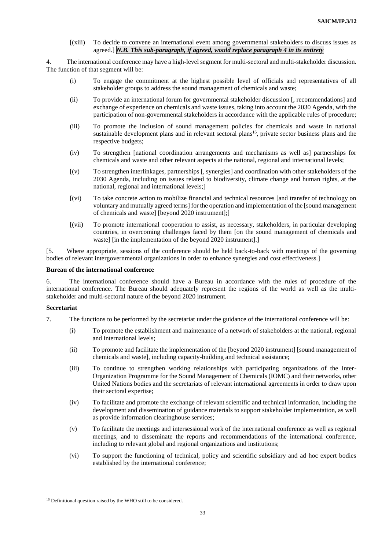[(xiii) To decide to convene an international event among governmental stakeholders to discuss issues as agreed.] *N.B. This sub-paragraph, if agreed, would replace paragraph 4 in its entirety*

4. The international conference may have a high-level segment for multi-sectoral and multi-stakeholder discussion. The function of that segment will be:

- (i) To engage the commitment at the highest possible level of officials and representatives of all stakeholder groups to address the sound management of chemicals and waste;
- (ii) To provide an international forum for governmental stakeholder discussion [, recommendations] and exchange of experience on chemicals and waste issues, taking into account the 2030 Agenda, with the participation of non-governmental stakeholders in accordance with the applicable rules of procedure;
- (iii) To promote the inclusion of sound management policies for chemicals and waste in national sustainable development plans and in relevant sectoral plans<sup>16</sup>, private sector business plans and the respective budgets:
- (iv) To strengthen [national coordination arrangements and mechanisms as well as] partnerships for chemicals and waste and other relevant aspects at the national, regional and international levels;
- [(v) To strengthen interlinkages, partnerships [, synergies] and coordination with other stakeholders of the 2030 Agenda, including on issues related to biodiversity, climate change and human rights, at the national, regional and international levels;]
- [(vi) To take concrete action to mobilize financial and technical resources [and transfer of technology on voluntary and mutually agreed terms] for the operation and implementation of the [sound management of chemicals and waste] [beyond 2020 instrument];]
- [(vii) To promote international cooperation to assist, as necessary, stakeholders, in particular developing countries, in overcoming challenges faced by them [on the sound management of chemicals and waste] [in the implementation of the beyond 2020 instrument].]

[5. Where appropriate, sessions of the conference should be held back-to-back with meetings of the governing bodies of relevant intergovernmental organizations in order to enhance synergies and cost effectiveness.]

### **Bureau of the international conference**

6. The international conference should have a Bureau in accordance with the rules of procedure of the international conference. The Bureau should adequately represent the regions of the world as well as the multistakeholder and multi-sectoral nature of the beyond 2020 instrument.

#### **Secretariat**

 $\overline{a}$ 

- 7. The functions to be performed by the secretariat under the guidance of the international conference will be:
	- (i) To promote the establishment and maintenance of a network of stakeholders at the national, regional and international levels;
	- (ii) To promote and facilitate the implementation of the [beyond 2020 instrument] [sound management of chemicals and waste], including capacity-building and technical assistance;
	- (iii) To continue to strengthen working relationships with participating organizations of the Inter-Organization Programme for the Sound Management of Chemicals (IOMC) and their networks, other United Nations bodies and the secretariats of relevant international agreements in order to draw upon their sectoral expertise;
	- (iv) To facilitate and promote the exchange of relevant scientific and technical information, including the development and dissemination of guidance materials to support stakeholder implementation, as well as provide information clearinghouse services;
	- (v) To facilitate the meetings and intersessional work of the international conference as well as regional meetings, and to disseminate the reports and recommendations of the international conference, including to relevant global and regional organizations and institutions;
	- (vi) To support the functioning of technical, policy and scientific subsidiary and ad hoc expert bodies established by the international conference;

<sup>&</sup>lt;sup>16</sup> Definitional question raised by the WHO still to be considered.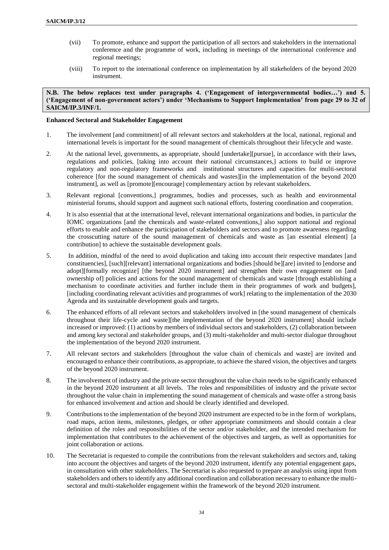- (vii) To promote, enhance and support the participation of all sectors and stakeholders in the international conference and the programme of work, including in meetings of the international conference and regional meetings;
- (viii) To report to the international conference on implementation by all stakeholders of the beyond 2020 instrument.

**N.B. The below replaces text under paragraphs 4. ('Engagement of intergovernmental bodies…') and 5. ('Engagement of non-government actors') under 'Mechanisms to Support Implementation' from page 29 to 32 of SAICM/IP.3/INF/1.** 

### **Enhanced Sectoral and Stakeholder Engagement**

- 1. The involvement [and commitment] of all relevant sectors and stakeholders at the local, national, regional and international levels is important for the sound management of chemicals throughout their lifecycle and waste.
- 2. At the national level, governments, as appropriate, should [undertake][pursue], in accordance with their laws, regulations and policies, [taking into account their national circumstances,] actions to build or improve regulatory and non-regulatory frameworks and institutional structures and capacities for multi-sectoral coherence [for the sound management of chemicals and wastes][in the implementation of the beyond 2020 instrument], as well as [promote][encourage] complementary action by relevant stakeholders.
- 3. Relevant regional [conventions,] programmes, bodies and processes, such as health and environmental ministerial forums, should support and augment such national efforts, fostering coordination and cooperation.
- 4. It is also essential that at the international level, relevant international organizations and bodies, in particular the IOMC organizations [and the chemicals and waste-related conventions,] also support national and regional efforts to enable and enhance the participation of stakeholders and sectors and to promote awareness regarding the crosscutting nature of the sound management of chemicals and waste as [an essential element] [a contribution] to achieve the sustainable development goals.
- 5. In addition, mindful of the need to avoid duplication and taking into account their respective mandates [and constituencies], [such][relevant] international organizations and bodies [should be][are] invited to [endorse and adopt][formally recognize] [the beyond 2020 instrument] and strengthen their own engagement on [and ownership of] policies and actions for the sound management of chemicals and waste [through establishing a mechanism to coordinate activities and further include them in their programmes of work and budgets], [including coordinating relevant activities and programmes of work] relating to the implementation of the 2030 Agenda and its sustainable development goals and targets.
- 6. The enhanced efforts of all relevant sectors and stakeholders involved in [the sound management of chemicals throughout their life-cycle and waste][the implementation of the beyond 2020 instrument] should include increased or improved: (1) actions by members of individual sectors and stakeholders, (2) collaboration between and among key sectoral and stakeholder groups, and (3) multi-stakeholder and multi-sector dialogue throughout the implementation of the beyond 2020 instrument.
- 7. All relevant sectors and stakeholders [throughout the value chain of chemicals and waste] are invited and encouraged to enhance their contributions, as appropriate, to achieve the shared vision, the objectives and targets of the beyond 2020 instrument.
- 8. The involvement of industry and the private sector throughout the value chain needs to be significantly enhanced in the beyond 2020 instrument at all levels. The roles and responsibilities of industry and the private sector throughout the value chain in implementing the sound management of chemicals and waste offer a strong basis for enhanced involvement and action and should be clearly identified and developed.
- 9. Contributions to the implementation of the beyond 2020 instrument are expected to be in the form of workplans, road maps, action items, milestones, pledges, or other appropriate commitments and should contain a clear definition of the roles and responsibilities of the sector and/or stakeholder, and the intended mechanism for implementation that contributes to the achievement of the objectives and targets, as well as opportunities for joint collaboration or actions.
- 10. The Secretariat is requested to compile the contributions from the relevant stakeholders and sectors and, taking into account the objectives and targets of the beyond 2020 instrument, identify any potential engagement gaps, in consultation with other stakeholders. The Secretariat is also requested to prepare an analysis using input from stakeholders and others to identify any additional coordination and collaboration necessary to enhance the multisectoral and multi-stakeholder engagement within the framework of the beyond 2020 instrument.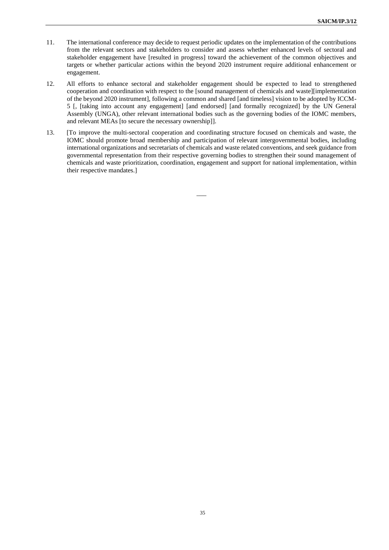- 11. The international conference may decide to request periodic updates on the implementation of the contributions from the relevant sectors and stakeholders to consider and assess whether enhanced levels of sectoral and stakeholder engagement have [resulted in progress] toward the achievement of the common objectives and targets or whether particular actions within the beyond 2020 instrument require additional enhancement or engagement.
- 12. All efforts to enhance sectoral and stakeholder engagement should be expected to lead to strengthened cooperation and coordination with respect to the [sound management of chemicals and waste][implementation of the beyond 2020 instrument], following a common and shared [and timeless] vision to be adopted by ICCM-5 [, [taking into account any engagement] [and endorsed] [and formally recognized] by the UN General Assembly (UNGA), other relevant international bodies such as the governing bodies of the IOMC members, and relevant MEAs [to secure the necessary ownership]].
- 13. [To improve the multi-sectoral cooperation and coordinating structure focused on chemicals and waste, the IOMC should promote broad membership and participation of relevant intergovernmental bodies, including international organizations and secretariats of chemicals and waste related conventions, and seek guidance from governmental representation from their respective governing bodies to strengthen their sound management of chemicals and waste prioritization, coordination, engagement and support for national implementation, within their respective mandates.]

 $\overline{\phantom{a}}$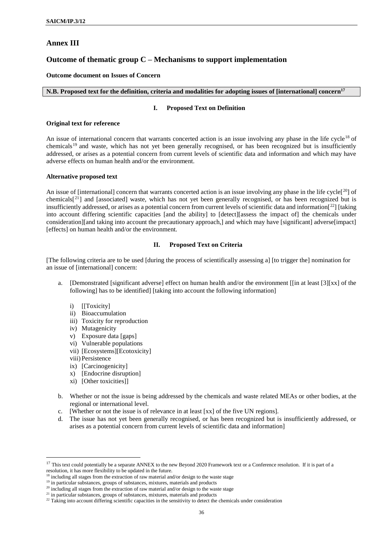## **Annex III**

## **Outcome of thematic group C – Mechanisms to support implementation**

## **Outcome document on Issues of Concern**

### **N.B. Proposed text for the definition, criteria and modalities for adopting issues of [international] concern<sup>17</sup>**

#### **I. Proposed Text on Definition**

#### **Original text for reference**

An issue of international concern that warrants concerted action is an issue involving any phase in the life cycle<sup>18</sup> of chemicals<sup>19</sup> and waste, which has not yet been generally recognised, or has been recognized but is insufficiently addressed, or arises as a potential concern from current levels of scientific data and information and which may have adverse effects on human health and/or the environment.

### **Alternative proposed text**

An issue of [international] concern that warrants concerted action is an issue involving any phase in the life cycle<sup>[20</sup>] of chemicals<sup>[21</sup>] and [associated] waste, which has not yet been generally recognised, or has been recognized but is insufficiently addressed, or arises as a potential concern from current levels of scientific data and information $[2^2]$  [taking into account differing scientific capacities [and the ability] to [detect][assess the impact of] the chemicals under consideration][and taking into account the precautionary approach,] and which may have [significant] adverse[impact] [effects] on human health and/or the environment.

### **II. Proposed Text on Criteria**

[The following criteria are to be used [during the process of scientifically assessing a] [to trigger the] nomination for an issue of [international] concern:

- a. [Demonstrated [significant adverse] effect on human health and/or the environment [[in at least [3][xx] of the following] has to be identified] [taking into account the following information]
	- i) [[Toxicity]
	- ii) Bioaccumulation
	- iii) Toxicity for reproduction
	- iv) Mutagenicity
	- v) Exposure data [gaps]
	- vi) Vulnerable populations
	- vii) [Ecosystems][Ecotoxicity]
	- viii) Persistence

 $\overline{a}$ 

- ix) [Carcinogenicity]
- x) [Endocrine disruption]
- xi) [Other toxicities]]
- b. Whether or not the issue is being addressed by the chemicals and waste related MEAs or other bodies, at the regional or international level.
- c. [Whether or not the issue is of relevance in at least [xx] of the five UN regions].
- d. The issue has not yet been generally recognised, or has been recognized but is insufficiently addressed, or arises as a potential concern from current levels of scientific data and information]

<sup>&</sup>lt;sup>17</sup> This text could potentially be a separate ANNEX to the new Beyond 2020 Framework text or a Conference resolution. If it is part of a resolution, it has more flexibility to be updated in the future.

 $\frac{8}{3}$  including all stages from the extraction of raw material and/or design to the waste stage

<sup>&</sup>lt;sup>19</sup> in particular substances, groups of substances, mixtures, materials and products

<sup>&</sup>lt;sup>20</sup> including all stages from the extraction of raw material and/or design to the waste stage

<sup>&</sup>lt;sup>21</sup> in particular substances, groups of substances, mixtures, materials and products

<sup>&</sup>lt;sup>22</sup> Taking into account differing scientific capacities in the sensitivity to detect the chemicals under consideration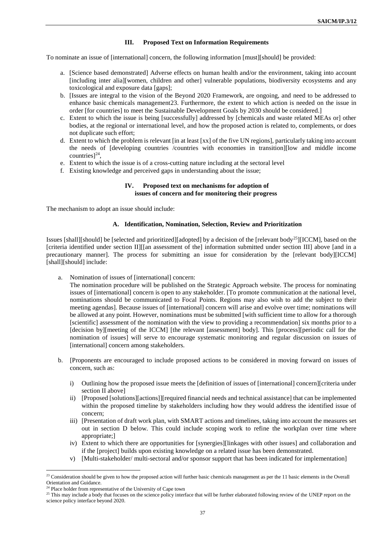#### **III. Proposed Text on Information Requirements**

To nominate an issue of [international] concern, the following information [must][should] be provided:

- a. [Science based demonstrated] Adverse effects on human health and/or the environment, taking into account [including inter alia][women, children and other] vulnerable populations, biodiversity ecosystems and any toxicological and exposure data [gaps];
- b. [Issues are integral to the vision of the Beyond 2020 Framework, are ongoing, and need to be addressed to enhance basic chemicals management23. Furthermore, the extent to which action is needed on the issue in order [for countries] to meet the Sustainable Development Goals by 2030 should be considered.]
- c. Extent to which the issue is being [successfully] addressed by [chemicals and waste related MEAs or] other bodies, at the regional or international level, and how the proposed action is related to, complements, or does not duplicate such effort;
- d. Extent to which the problem is relevant [in at least [xx] of the five UN regions], particularly taking into account the needs of [developing countries /countries with economies in transition][low and middle income countries] $^{24}$ ,
- e. Extent to which the issue is of a cross-cutting nature including at the sectoral level
- f. Existing knowledge and perceived gaps in understanding about the issue;

#### **IV. Proposed text on mechanisms for adoption of issues of concern and for monitoring their progress**

The mechanism to adopt an issue should include:

#### **A. Identification, Nomination, Selection, Review and Prioritization**

Issues [shall][should] be [selected and prioritized][adopted] by a decision of the [relevant body<sup>25</sup>][ICCM], based on the [criteria identified under section II][[an assessment of the] information submitted under section III] above [and in a precautionary manner]. The process for submitting an issue for consideration by the [relevant body][ICCM] [shall][should] include:

a. Nomination of issues of [international] concern:

The nomination procedure will be published on the Strategic Approach website. The process for nominating issues of [international] concern is open to any stakeholder. [To promote communication at the national level, nominations should be communicated to Focal Points. Regions may also wish to add the subject to their meeting agendas]. Because issues of [international] concern will arise and evolve over time; nominations will be allowed at any point. However, nominations must be submitted [with sufficient time to allow for a thorough [scientific] assessment of the nomination with the view to providing a recommendation] six months prior to a [decision by][meeting of the ICCM] [the relevant [assessment] body]. This [process][periodic call for the nomination of issues] will serve to encourage systematic monitoring and regular discussion on issues of [international] concern among stakeholders.

- b. [Proponents are encouraged to include proposed actions to be considered in moving forward on issues of concern, such as:
	- i) Outlining how the proposed issue meets the [definition of issues of [international] concern][criteria under section II above]
	- ii) [Proposed [solutions][actions]][required financial needs and technical assistance] that can be implemented within the proposed timeline by stakeholders including how they would address the identified issue of concern;
	- iii) [Presentation of draft work plan, with SMART actions and timelines, taking into account the measures set out in section D below. This could include scoping work to refine the workplan over time where appropriate;]
	- iv) Extent to which there are opportunities for [synergies][linkages with other issues] and collaboration and if the [project] builds upon existing knowledge on a related issue has been demonstrated.
	- v) [Multi-stakeholder/ multi-sectoral and/or sponsor support that has been indicated for implementation]

 $\overline{a}$ 

<sup>&</sup>lt;sup>23</sup> Consideration should be given to how the proposed action will further basic chemicals management as per the 11 basic elements in the Overall Orientation and Guidance.

<sup>&</sup>lt;sup>24</sup> Place holder from representative of the University of Cape town

<sup>&</sup>lt;sup>25</sup> This may include a body that focuses on the science policy interface that will be further elaborated following review of the UNEP report on the science policy interface beyond 2020.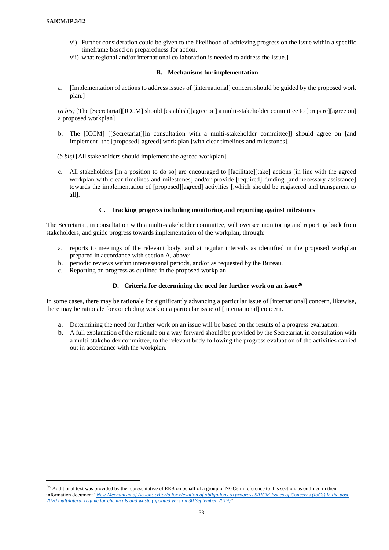$\overline{a}$ 

- vi) Further consideration could be given to the likelihood of achieving progress on the issue within a specific timeframe based on preparedness for action.
- vii) what regional and/or international collaboration is needed to address the issue.]

### **B. Mechanisms for implementation**

a. [Implementation of actions to address issues of [international] concern should be guided by the proposed work plan.]

(*a bis)* [The [Secretariat][ICCM] should [establish][agree on] a multi-stakeholder committee to [prepare][agree on] a proposed workplan]

b. The [ICCM] [[Secretariat][in consultation with a multi-stakeholder committee]] should agree on [and implement] the [proposed][agreed] work plan [with clear timelines and milestones].

(*b bis)* [All stakeholders should implement the agreed workplan]

c. All stakeholders [in a position to do so] are encouraged to [facilitate][take] actions [in line with the agreed workplan with clear timelines and milestones] and/or provide [required] funding [and necessary assistance] towards the implementation of [proposed][agreed] activities [,which should be registered and transparent to all].

## **C. Tracking progress including monitoring and reporting against milestones**

The Secretariat, in consultation with a multi-stakeholder committee, will oversee monitoring and reporting back from stakeholders, and guide progress towards implementation of the workplan, through:

- a. reports to meetings of the relevant body, and at regular intervals as identified in the proposed workplan prepared in accordance with section A, above;
- b. periodic reviews within intersessional periods, and/or as requested by the Bureau.
- c. Reporting on progress as outlined in the proposed workplan

## **D. Criteria for determining the need for further work on an issue<sup>26</sup>**

In some cases, there may be rationale for significantly advancing a particular issue of [international] concern, likewise, there may be rationale for concluding work on a particular issue of [international] concern.

- a. Determining the need for further work on an issue will be based on the results of a progress evaluation.
- b. A full explanation of the rationale on a way forward should be provided by the Secretariat, in consultation with a multi-stakeholder committee, to the relevant body following the progress evaluation of the activities carried out in accordance with the workplan.

<sup>&</sup>lt;sup>26</sup> Additional text was provided by the representative of EEB on behalf of a group of NGOs in reference to this section, as outlined in their information document "*[New Mechanism of Action: criteria for elevation of obligations to progress SAICM Issues of Concerns \(IoCs\) in the post](http://www.saicm.org/Portals/12/documents/meetings/IP3/stakeholders/NGO_Information-On-IoC-criteria_Update30Sept.pdf)  [2020 multilateral regime for chemicals and waste \(updated version 30 September 2019\)](http://www.saicm.org/Portals/12/documents/meetings/IP3/stakeholders/NGO_Information-On-IoC-criteria_Update30Sept.pdf)*"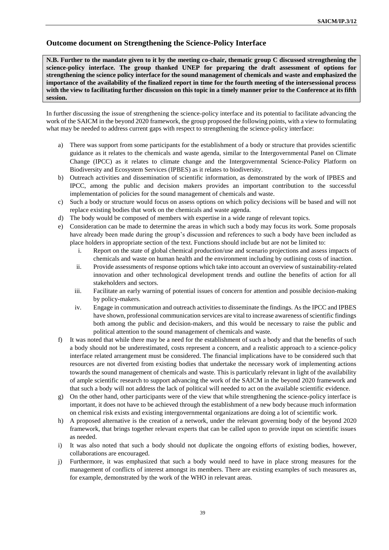# **Outcome document on Strengthening the Science-Policy Interface**

**N.B. Further to the mandate given to it by the meeting co-chair, thematic group C discussed strengthening the science-policy interface. The group thanked UNEP for preparing the draft assessment of options for strengthening the science policy interface for the sound management of chemicals and waste and emphasized the importance of the availability of the finalized report in time for the fourth meeting of the intersessional process with the view to facilitating further discussion on this topic in a timely manner prior to the Conference at its fifth session.** 

In further discussing the issue of strengthening the science-policy interface and its potential to facilitate advancing the work of the SAICM in the beyond 2020 framework, the group proposed the following points, with a view to formulating what may be needed to address current gaps with respect to strengthening the science-policy interface:

- a) There was support from some participants for the establishment of a body or structure that provides scientific guidance as it relates to the chemicals and waste agenda, similar to the Intergovernmental Panel on Climate Change (IPCC) as it relates to climate change and the Intergovernmental Science-Policy Platform on Biodiversity and Ecosystem Services (IPBES) as it relates to biodiversity.
- b) Outreach activities and dissemination of scientific information, as demonstrated by the work of IPBES and IPCC, among the public and decision makers provides an important contribution to the successful implementation of policies for the sound management of chemicals and waste.
- c) Such a body or structure would focus on assess options on which policy decisions will be based and will not replace existing bodies that work on the chemicals and waste agenda.
- d) The body would be composed of members with expertise in a wide range of relevant topics.
- e) Consideration can be made to determine the areas in which such a body may focus its work. Some proposals have already been made during the group's discussion and references to such a body have been included as place holders in appropriate section of the text. Functions should include but are not be limited to:
	- i. Report on the state of global chemical production/use and scenario projections and assess impacts of chemicals and waste on human health and the environment including by outlining costs of inaction.
	- ii. Provide assessments of response options which take into account an overview of sustainability-related innovation and other technological development trends and outline the benefits of action for all stakeholders and sectors.
	- iii. Facilitate an early warning of potential issues of concern for attention and possible decision-making by policy-makers.
	- iv. Engage in communication and outreach activities to disseminate the findings. As the IPCC and IPBES have shown, professional communication services are vital to increase awareness of scientific findings both among the public and decision-makers, and this would be necessary to raise the public and political attention to the sound management of chemicals and waste.
- f) It was noted that while there may be a need for the establishment of such a body and that the benefits of such a body should not be underestimated, costs represent a concern, and a realistic approach to a science-policy interface related arrangement must be considered. The financial implications have to be considered such that resources are not diverted from existing bodies that undertake the necessary work of implementing actions towards the sound management of chemicals and waste. This is particularly relevant in light of the availability of ample scientific research to support advancing the work of the SAICM in the beyond 2020 framework and that such a body will not address the lack of political will needed to act on the available scientific evidence.
- g) On the other hand, other participants were of the view that while strengthening the science-policy interface is important, it does not have to be achieved through the establishment of a new body because much information on chemical risk exists and existing intergovernmental organizations are doing a lot of scientific work.
- h) A proposed alternative is the creation of a network, under the relevant governing body of the beyond 2020 framework, that brings together relevant experts that can be called upon to provide input on scientific issues as needed.
- i) It was also noted that such a body should not duplicate the ongoing efforts of existing bodies, however, collaborations are encouraged.
- j) Furthermore, it was emphasized that such a body would need to have in place strong measures for the management of conflicts of interest amongst its members. There are existing examples of such measures as, for example, demonstrated by the work of the WHO in relevant areas.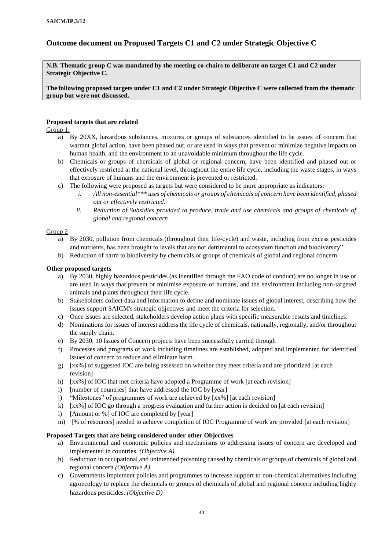# **Outcome document on Proposed Targets C1 and C2 under Strategic Objective C**

**N.B. Thematic group C was mandated by the meeting co-chairs to deliberate on target C1 and C2 under Strategic Objective C.**

**The following proposed targets under C1 and C2 under Strategic Objective C were collected from the thematic group but were not discussed.**

## **Proposed targets that are related**

Group 1:

- a) By 20XX, hazardous substances, mixtures or groups of substances identified to be issues of concern that warrant global action, have been phased out, or are used in ways that prevent or minimize negative impacts on human health, and the environment to an unavoidable minimum throughout the life cycle.
- b) Chemicals or groups of chemicals of global or regional concern, have been identified and phased out or effectively restricted at the national level, throughout the entire life cycle, including the waste stages, in ways that exposure of humans and the environment is prevented or restricted.
- c) The following were proposed as targets but were considered to be more appropriate as indicators:
	- *i. All non-essential\*\*\* uses of chemicals or groups of chemicals of concern have been identified, phased out or effectively restricted.*
	- *ii. Reduction of Subsidies provided to produce, trade and use chemicals and groups of chemicals of global and regional concern*

## Group 2

- a) By 2030, pollution from chemicals (throughout their life-cycle) and waste, including from excess pesticides and nutrients, has been brought to levels that are not detrimental to ecosystem function and biodiversity"
- b) Reduction of harm to biodiversity by chemicals or groups of chemicals of global and regional concern

## **Other proposed targets**

- a) By 2030, highly hazardous pesticides (as identified through the FAO code of conduct) are no longer in use or are used in ways that prevent or minimise exposure of humans, and the environment including non-targeted animals and plants throughout their life cycle.
- b) Stakeholders collect data and information to define and nominate issues of global interest, describing how the issues support SAICM's strategic objectives and meet the criteria for selection.
- c) Once issues are selected, stakeholders develop action plans with specific measurable results and timelines.
- d) Nominations for issues of interest address the life cycle of chemicals, nationally, regionally, and/or throughout the supply chain.
- e) By 2030, 10 Issues of Concern projects have been successfully carried through
- f) Processes and programs of work including timelines are established, adopted and implemented for identified issues of concern to reduce and eliminate harm.
- g) [xx%] of suggested IOC are being assessed on whether they meet criteria and are prioritized [at each revision]
- h) [xx%] of IOC that met criteria have adopted a Programme of work [at each revision]
- i) [number of countries] that have addressed the IOC by [year]
- j) "Milestones" of programmes of work are achieved by [xx%] [at each revision]
- k) [xx%] of IOC go through a progress evaluation and further action is decided on [at each revision]
- l) [Amount or %] of IOC are completed by [year]
- m) [% of resources] needed to achieve completion of IOC Programme of work are provided [at each revision]

## **Proposed Targets that are being considered under other Objectives**

- a) Environmental and economic policies and mechanisms to addressing issues of concern are developed and implemented in countries. *(Objective A)*
- b) Reduction in occupational and unintended poisoning caused by chemicals or groups of chemicals of global and regional concern *(Objective A)*
- c) Governments implement policies and programmes to increase support to non-chemical alternatives including agroecology to replace the chemicals or groups of chemicals of global and regional concern including highly hazardous pesticides. *(Objective D)*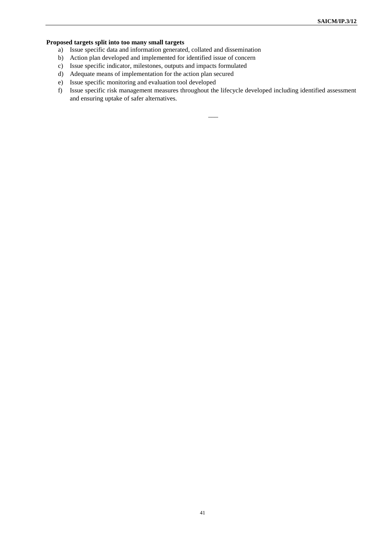# **Proposed targets split into too many small targets**

- a) Issue specific data and information generated, collated and dissemination
- b) Action plan developed and implemented for identified issue of concern
- c) Issue specific indicator, milestones, outputs and impacts formulated
- d) Adequate means of implementation for the action plan secured
- e) Issue specific monitoring and evaluation tool developed
- f) Issue specific risk management measures throughout the lifecycle developed including identified assessment and ensuring uptake of safer alternatives.

 $\overline{\phantom{a}}$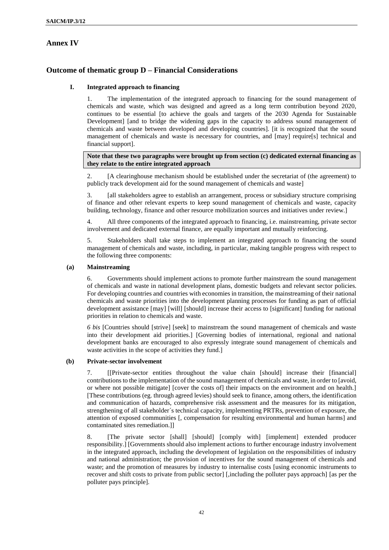# **Annex IV**

# **Outcome of thematic group D – Financial Considerations**

## **I. Integrated approach to financing**

1. The implementation of the integrated approach to financing for the sound management of chemicals and waste, which was designed and agreed as a long term contribution beyond 2020, continues to be essential [to achieve the goals and targets of the 2030 Agenda for Sustainable Development] [and to bridge the widening gaps in the capacity to address sound management of chemicals and waste between developed and developing countries]. [it is recognized that the sound management of chemicals and waste is necessary for countries, and [may] require[s] technical and financial support].

## **Note that these two paragraphs were brought up from section (c) dedicated external financing as they relate to the entire integrated approach**

2. [A clearinghouse mechanism should be established under the secretariat of (the agreement) to publicly track development aid for the sound management of chemicals and waste]

3. [all stakeholders agree to establish an arrangement, process or subsidiary structure comprising of finance and other relevant experts to keep sound management of chemicals and waste, capacity building, technology, finance and other resource mobilization sources and initiatives under review.]

4. All three components of the integrated approach to financing, i.e. mainstreaming, private sector involvement and dedicated external finance, are equally important and mutually reinforcing.

5. Stakeholders shall take steps to implement an integrated approach to financing the sound management of chemicals and waste, including, in particular, making tangible progress with respect to the following three components:

## **(a) Mainstreaming**

6. Governments should implement actions to promote further mainstream the sound management of chemicals and waste in national development plans, domestic budgets and relevant sector policies. For developing countries and countries with economies in transition, the mainstreaming of their national chemicals and waste priorities into the development planning processes for funding as part of official development assistance [may] [will] [should] increase their access to [significant] funding for national priorities in relation to chemicals and waste.

*6 bis* [Countries should [strive] [seek] to mainstream the sound management of chemicals and waste into their development aid priorities.] [Governing bodies of international, regional and national development banks are encouraged to also expressly integrate sound management of chemicals and waste activities in the scope of activities they fund.]

## **(b) Private-sector involvement**

7. [[Private-sector entities throughout the value chain [should] increase their [financial] contributions to the implementation of the sound management of chemicals and waste, in order to [avoid, or where not possible mitigate] [cover the costs of] their impacts on the environment and on health.] [These contributions (eg. through agreed levies) should seek to finance, among others, the identification and communication of hazards, comprehensive risk assessment and the measures for its mitigation, strengthening of all stakeholder´s technical capacity, implementing PRTRs, prevention of exposure, the attention of exposed communities [, compensation for resulting environmental and human harms] and contaminated sites remediation.]]

8. [The private sector [shall] [should] [comply with] [implement] extended producer responsibility.] [Governments should also implement actions to further encourage industry involvement in the integrated approach, including the development of legislation on the responsibilities of industry and national administration; the provision of incentives for the sound management of chemicals and waste; and the promotion of measures by industry to internalise costs [using economic instruments to recover and shift costs to private from public sector] [,including the polluter pays approach] [as per the polluter pays principle].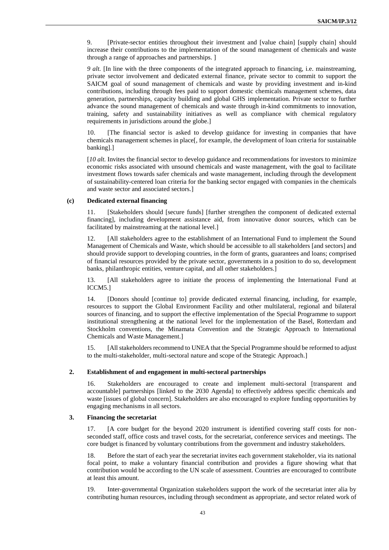9. [Private-sector entities throughout their investment and [value chain] [supply chain] should increase their contributions to the implementation of the sound management of chemicals and waste through a range of approaches and partnerships. ]

*9 alt.* [In line with the three components of the integrated approach to financing, i.e. mainstreaming, private sector involvement and dedicated external finance, private sector to commit to support the SAICM goal of sound management of chemicals and waste by providing investment and in-kind contributions, including through fees paid to support domestic chemicals management schemes, data generation, partnerships, capacity building and global GHS implementation. Private sector to further advance the sound management of chemicals and waste through in-kind commitments to innovation, training, safety and sustainability initiatives as well as compliance with chemical regulatory requirements in jurisdictions around the globe.]

10. [The financial sector is asked to develop guidance for investing in companies that have chemicals management schemes in place[, for example, the development of loan criteria for sustainable banking].]

[*10 alt.* Invites the financial sector to develop guidance and recommendations for investors to minimize economic risks associated with unsound chemicals and waste management, with the goal to facilitate investment flows towards safer chemicals and waste management, including through the development of sustainability-centered loan criteria for the banking sector engaged with companies in the chemicals and waste sector and associated sectors.]

#### **(c) Dedicated external financing**

11. [Stakeholders should [secure funds] [further strengthen the component of dedicated external financing], including development assistance aid, from innovative donor sources, which can be facilitated by mainstreaming at the national level.]

12. [All stakeholders agree to the establishment of an International Fund to implement the Sound Management of Chemicals and Waste, which should be accessible to all stakeholders [and sectors] and should provide support to developing countries, in the form of grants, guarantees and loans; comprised of financial resources provided by the private sector, governments in a position to do so, development banks, philanthropic entities, venture capital, and all other stakeholders.]

13. [All stakeholders agree to initiate the process of implementing the International Fund at ICCM5.]

14. [Donors should [continue to] provide dedicated external financing, including, for example, resources to support the Global Environment Facility and other multilateral, regional and bilateral sources of financing, and to support the effective implementation of the Special Programme to support institutional strengthening at the national level for the implementation of the Basel, Rotterdam and Stockholm conventions, the Minamata Convention and the Strategic Approach to International Chemicals and Waste Management.]

15. [All stakeholders recommend to UNEA that the Special Programme should be reformed to adjust to the multi-stakeholder, multi-sectoral nature and scope of the Strategic Approach.]

#### **2. Establishment of and engagement in multi-sectoral partnerships**

16. Stakeholders are encouraged to create and implement multi-sectoral [transparent and accountable] partnerships [linked to the 2030 Agenda] to effectively address specific chemicals and waste [issues of global concern]. Stakeholders are also encouraged to explore funding opportunities by engaging mechanisms in all sectors.

#### **3. Financing the secretariat**

17. [A core budget for the beyond 2020 instrument is identified covering staff costs for nonseconded staff, office costs and travel costs, for the secretariat, conference services and meetings. The core budget is financed by voluntary contributions from the government and industry stakeholders.

18. Before the start of each year the secretariat invites each government stakeholder, via its national focal point, to make a voluntary financial contribution and provides a figure showing what that contribution would be according to the UN scale of assessment. Countries are encouraged to contribute at least this amount.

19. Inter-governmental Organization stakeholders support the work of the secretariat inter alia by contributing human resources, including through secondment as appropriate, and sector related work of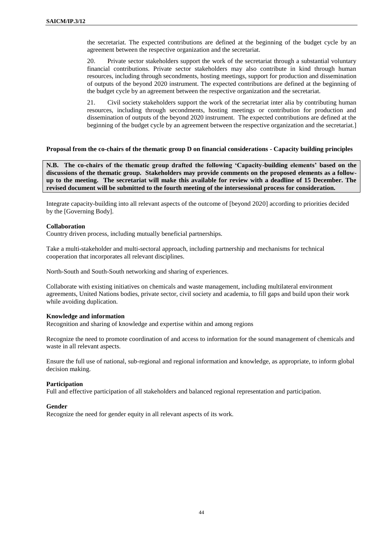the secretariat. The expected contributions are defined at the beginning of the budget cycle by an agreement between the respective organization and the secretariat.

20. Private sector stakeholders support the work of the secretariat through a substantial voluntary financial contributions. Private sector stakeholders may also contribute in kind through human resources, including through secondments, hosting meetings, support for production and dissemination of outputs of the beyond 2020 instrument. The expected contributions are defined at the beginning of the budget cycle by an agreement between the respective organization and the secretariat.

21. Civil society stakeholders support the work of the secretariat inter alia by contributing human resources, including through secondments, hosting meetings or contribution for production and dissemination of outputs of the beyond 2020 instrument. The expected contributions are defined at the beginning of the budget cycle by an agreement between the respective organization and the secretariat.]

#### **Proposal from the co-chairs of the thematic group D on financial considerations - Capacity building principles**

**N.B. The co-chairs of the thematic group drafted the following 'Capacity-building elements' based on the discussions of the thematic group. Stakeholders may provide comments on the proposed elements as a followup to the meeting. The secretariat will make this available for review with a deadline of 15 December. The revised document will be submitted to the fourth meeting of the intersessional process for consideration.** 

Integrate capacity-building into all relevant aspects of the outcome of [beyond 2020] according to priorities decided by the [Governing Body].

### **Collaboration**

Country driven process, including mutually beneficial partnerships.

Take a multi-stakeholder and multi-sectoral approach, including partnership and mechanisms for technical cooperation that incorporates all relevant disciplines.

North-South and South-South networking and sharing of experiences.

Collaborate with existing initiatives on chemicals and waste management, including multilateral environment agreements, United Nations bodies, private sector, civil society and academia, to fill gaps and build upon their work while avoiding duplication.

#### **Knowledge and information**

Recognition and sharing of knowledge and expertise within and among regions

Recognize the need to promote coordination of and access to information for the sound management of chemicals and waste in all relevant aspects.

Ensure the full use of national, sub-regional and regional information and knowledge, as appropriate, to inform global decision making.

#### **Participation**

Full and effective participation of all stakeholders and balanced regional representation and participation.

#### **Gender**

Recognize the need for gender equity in all relevant aspects of its work.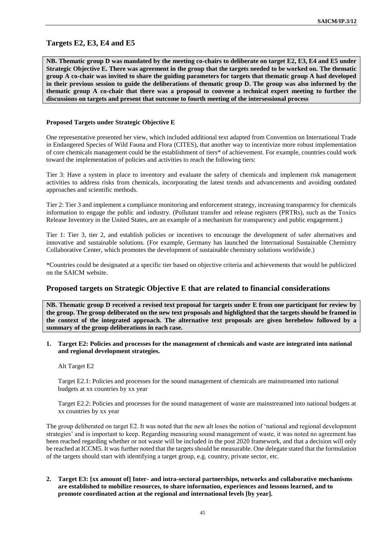## **Targets E2, E3, E4 and E5**

**NB. Thematic group D was mandated by the meeting co-chairs to deliberate on target E2, E3, E4 and E5 under Strategic Objective E. There was agreement in the group that the targets needed to be worked on. The thematic group A co-chair was invited to share the guiding parameters for targets that thematic group A had developed in their previous session to guide the deliberations of thematic group D. The group was also informed by the thematic group A co-chair that there was a proposal to convene a technical expert meeting to further the discussions on targets and present that outcome to fourth meeting of the intersessional process**

#### **Proposed Targets under Strategic Objective E**

One representative presented her view, which included additional text adapted from Convention on International Trade in Endangered Species of Wild Fauna and Flora (CITES), that another way to incentivize more robust implementation of core chemicals management could be the establishment of tiers\* of achievement. For example, countries could work toward the implementation of policies and activities to reach the following tiers:

Tier 3: Have a system in place to inventory and evaluate the safety of chemicals and implement risk management activities to address risks from chemicals, incorporating the latest trends and advancements and avoiding outdated approaches and scientific methods.

Tier 2: Tier 3 and implement a compliance monitoring and enforcement strategy, increasing transparency for chemicals information to engage the public and industry. (Pollutant transfer and release registers (PRTRs), such as the Toxics Release Inventory in the United States, are an example of a mechanism for transparency and public engagement.)

Tier 1: Tier 3, tier 2, and establish policies or incentives to encourage the development of safer alternatives and innovative and sustainable solutions. (For example, Germany has launched the International Sustainable Chemistry Collaborative Center, which promotes the development of sustainable chemistry solutions worldwide.)

\*Countries could be designated at a specific tier based on objective criteria and achievements that would be publicized on the SAICM website.

#### **Proposed targets on Strategic Objective E that are related to financial considerations**

**NB. Thematic group D received a revised text proposal for targets under E from one participant for review by the group. The group deliberated on the new text proposals and highlighted that the targets should be framed in the context of the integrated approach. The alternative text proposals are given herebelow followed by a summary of the group deliberations in each case.**

**1. Target E2: Policies and processes for the management of chemicals and waste are integrated into national and regional development strategies.**

#### Alt Target E2

Target E2.1: Policies and processes for the sound management of chemicals are mainstreamed into national budgets at xx countries by xx year

Target E2.2: Policies and processes for the sound management of waste are mainstreamed into national budgets at xx countries by xx year

The group deliberated on target E2. It was noted that the new alt loses the notion of 'national and regional development strategies' and is important to keep. Regarding measuring sound management of waste, it was noted no agreement has been reached regarding whether or not waste will be included in the post 2020 framework, and that a decision will only be reached at ICCM5. It was further noted that the targets should be measurable. One delegate stated that the formulation of the targets should start with identifying a target group, e.g. country, private sector, etc.

**2. Target E3: [xx amount of] Inter- and intra-sectoral partnerships, networks and collaborative mechanisms are established to mobilize resources, to share information, experiences and lessons learned, and to promote coordinated action at the regional and international levels [by year].**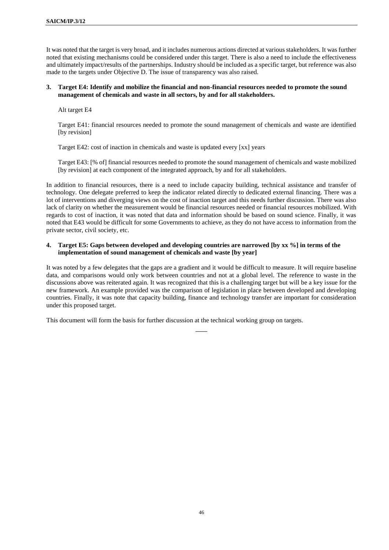It was noted that the target is very broad, and it includes numerous actions directed at various stakeholders. It was further noted that existing mechanisms could be considered under this target. There is also a need to include the effectiveness and ultimately impact/results of the partnerships. Industry should be included as a specific target, but reference was also made to the targets under Objective D. The issue of transparency was also raised.

### **3. Target E4: Identify and mobilize the financial and non-financial resources needed to promote the sound management of chemicals and waste in all sectors, by and for all stakeholders.**

### Alt target E4

Target E41: financial resources needed to promote the sound management of chemicals and waste are identified [by revision]

Target E42: cost of inaction in chemicals and waste is updated every [xx] years

Target E43: [% of] financial resources needed to promote the sound management of chemicals and waste mobilized [by revision] at each component of the integrated approach, by and for all stakeholders.

In addition to financial resources, there is a need to include capacity building, technical assistance and transfer of technology. One delegate preferred to keep the indicator related directly to dedicated external financing. There was a lot of interventions and diverging views on the cost of inaction target and this needs further discussion. There was also lack of clarity on whether the measurement would be financial resources needed or financial resources mobilized. With regards to cost of inaction, it was noted that data and information should be based on sound science. Finally, it was noted that E43 would be difficult for some Governments to achieve, as they do not have access to information from the private sector, civil society, etc.

### **4. Target E5: Gaps between developed and developing countries are narrowed [by xx %] in terms of the implementation of sound management of chemicals and waste [by year]**

It was noted by a few delegates that the gaps are a gradient and it would be difficult to measure. It will require baseline data, and comparisons would only work between countries and not at a global level. The reference to waste in the discussions above was reiterated again. It was recognized that this is a challenging target but will be a key issue for the new framework. An example provided was the comparison of legislation in place between developed and developing countries. Finally, it was note that capacity building, finance and technology transfer are important for consideration under this proposed target.

 $\overline{\phantom{a}}$ 

This document will form the basis for further discussion at the technical working group on targets.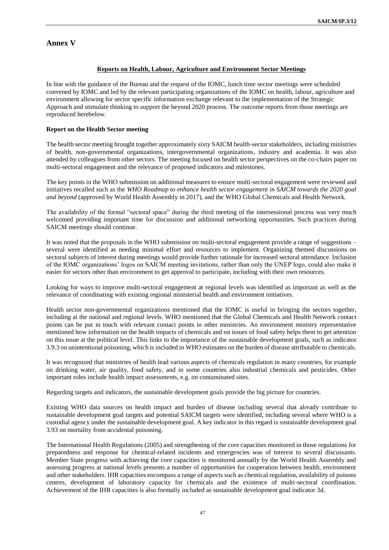# **Annex V**

## **Reports on Health, Labour, Agriculture and Environment Sector Meetings**

In line with the guidance of the Bureau and the request of the IOMC, lunch time sector meetings were scheduled convened by IOMC and led by the relevant participating organizations of the IOMC on health, labour, agriculture and environment allowing for sector specific information exchange relevant to the implementation of the Strategic Approach and stimulate thinking to support the beyond 2020 process. The outcome reports from those meetings are reproduced herebelow.

## **Report on the Health Sector meeting**

The health sector meeting brought together approximately sixty SAICM health-sector stakeholders, including ministries of health, non-governmental organizations, intergovernmental organizations, industry and academia. It was also attended by colleagues from other sectors. The meeting focused on health sector perspectives on the co-chairs paper on multi-sectoral engagement and the relevance of proposed indicators and milestones.

The key points in the WHO submission on additional measures to ensure multi-sectoral engagement were reviewed and initiatives recalled such as the *WHO Roadmap to enhance health sector engagement in SAICM towards the 2020 goal and beyond* (approved by World Health Assembly in 2017), and the WHO Global Chemicals and Health Network*.* 

The availability of the formal "sectoral space" during the third meeting of the intersessional process was very much welcomed providing important time for discussion and additional networking opportunities. Such practices during SAICM meetings should continue.

It was noted that the proposals in the WHO submission on multi-sectoral engagement provide a range of suggestions – several were identified as needing minimal effort and resources to implement. Organizing themed discussions on sectoral subjects of interest during meetings would provide further rationale for increased sectoral attendance. Inclusion of the IOMC organizations' logos on SAICM meeting invitations, rather than only the UNEP logo, could also make it easier for sectors other than environment to get approval to participate, including with their own resources.

Looking for ways to improve multi-sectoral engagement at regional levels was identified as important as well as the relevance of coordinating with existing regional ministerial health and environment initiatives.

Health sector non-governmental organizations mentioned that the IOMC is useful in bringing the sectors together, including at the national and regional levels. WHO mentioned that the Global Chemicals and Health Network contact points can be put in touch with relevant contact points in other ministries. An environment ministry representative mentioned how information on the health impacts of chemicals and on issues of food safety helps them to get attention on this issue at the political level. This links to the importance of the sustainable development goals, such as indicator 3.9.3 on unintentional poisoning, which is included in WHO estimates on the burden of disease attributable to chemicals.

It was recognized that ministries of health lead various aspects of chemicals regulation in many countries, for example on drinking water, air quality, food safety, and in some countries also industrial chemicals and pesticides. Other important roles include health impact assessments, e.g. on contaminated sites.

Regarding targets and indicators, the sustainable development goals provide the big picture for countries.

Existing WHO data sources on health impact and burden of disease including several that already contribute to sustainable development goal targets and potential SAICM targets were identified, including several where WHO is a custodial agency under the sustainable development goal. A key indicator in this regard is sustainable development goal 3.93 on mortality from accidental poisoning.

The International Health Regulations (2005) and strengthening of the core capacities monitored in those regulations for preparedness and response for chemical-related incidents and emergencies was of interest to several discussants. Member State progress with achieving the core capacities is monitored annually by the World Health Assembly and assessing progress at national levels presents a number of opportunities for cooperation between health, environment and other stakeholders. IHR capacities encompass a range of aspects such as chemical regulation, availability of poisons centres, development of laboratory capacity for chemicals and the existence of multi-sectoral coordination. Achievement of the IHR capacities is also formally included as sustainable development goal indicator 3d.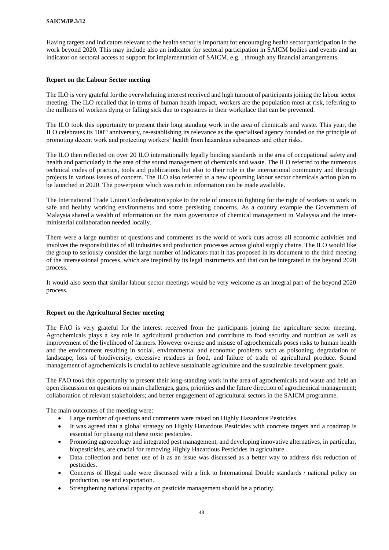Having targets and indicators relevant to the health sector is important for encouraging health sector participation in the work beyond 2020. This may include also an indicator for sectoral participation in SAICM bodies and events and an indicator on sectoral access to support for implementation of SAICM, e.g. , through any financial arrangements.

#### **Report on the Labour Sector meeting**

The ILO is very grateful for the overwhelming interest received and high turnout of participants joining the labour sector meeting. The ILO recalled that in terms of human health impact, workers are the population most at risk, referring to the millions of workers dying or falling sick due to exposures in their workplace that can be prevented.

The ILO took this opportunity to present their long standing work in the area of chemicals and waste. This year, the ILO celebrates its 100<sup>th</sup> anniversary, re-establishing its relevance as the specialised agency founded on the principle of promoting decent work and protecting workers' health from hazardous substances and other risks.

The ILO then reflected on over 20 ILO internationally legally binding standards in the area of occupational safety and health and particularly in the area of the sound management of chemicals and waste. The ILO referred to the numerous technical codes of practice, tools and publications but also to their role in the international community and through projects in various issues of concern. The ILO also referred to a new upcoming labour sector chemicals action plan to be launched in 2020. The powerpoint which was rich in information can be made available.

The International Trade Union Confederation spoke to the role of unions in fighting for the right of workers to work in safe and healthy working environments and some persisting concerns. As a country example the Government of Malaysia shared a wealth of information on the main governance of chemical management in Malaysia and the interministerial collaboration needed locally.

There were a large number of questions and comments as the world of work cuts across all economic activities and involves the responsibilities of all industries and production processes across global supply chains. The ILO would like the group to seriously consider the large number of indicators that it has proposed in its document to the third meeting of the intersessional process, which are inspired by its legal instruments and that can be integrated in the beyond 2020 process.

It would also seem that similar labour sector meetings would be very welcome as an integral part of the beyond 2020 process.

#### **Report on the Agricultural Sector meeting**

The FAO is very grateful for the interest received from the participants joining the agriculture sector meeting. Agrochemicals plays a key role in agricultural production and contribute to food security and nutrition as well as improvement of the livelihood of farmers. However overuse and misuse of agrochemicals poses risks to human health and the environment resulting in social, environmental and economic problems such as poisoning, degradation of landscape, loss of biodiversity, excessive residues in food, and failure of trade of agricultural produce. Sound management of agrochemicals is crucial to achieve sustainable agriculture and the sustainable development goals.

The FAO took this opportunity to present their long-standing work in the area of agrochemicals and waste and held an open discussion on questions on main challenges, gaps, priorities and the future direction of agrochemical management; collaboration of relevant stakeholders; and better engagement of agricultural sectors in the SAICM programme.

The main outcomes of the meeting were:

- Large number of questions and comments were raised on Highly Hazardous Pesticides.
- It was agreed that a global strategy on Highly Hazardous Pesticides with concrete targets and a roadmap is essential for phasing out these toxic pesticides.
- Promoting agroecology and integrated pest management, and developing innovative alternatives, in particular, biopesticides, are crucial for removing Highly Hazardous Pesticides in agriculture.
- Data collection and better use of it as an issue was discussed as a better way to address risk reduction of pesticides.
- Concerns of Illegal trade were discussed with a link to International Double standards / national policy on production, use and exportation.
- Strengthening national capacity on pesticide management should be a priority.